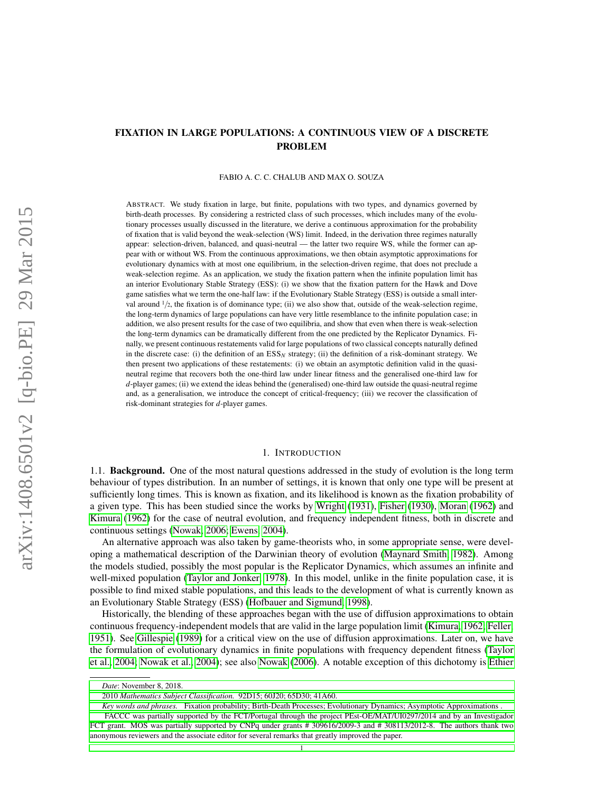# FIXATION IN LARGE POPULATIONS: A CONTINUOUS VIEW OF A DISCRETE PROBLEM

FABIO A. C. C. CHALUB AND MAX O. SOUZA

ABSTRACT. We study fixation in large, but finite, populations with two types, and dynamics governed by birth-death processes. By considering a restricted class of such processes, which includes many of the evolutionary processes usually discussed in the literature, we derive a continuous approximation for the probability of fixation that is valid beyond the weak-selection (WS) limit. Indeed, in the derivation three regimes naturally appear: selection-driven, balanced, and quasi-neutral — the latter two require WS, while the former can appear with or without WS. From the continuous approximations, we then obtain asymptotic approximations for evolutionary dynamics with at most one equilibrium, in the selection-driven regime, that does not preclude a weak-selection regime. As an application, we study the fixation pattern when the infinite population limit has an interior Evolutionary Stable Strategy (ESS): (i) we show that the fixation pattern for the Hawk and Dove game satisfies what we term the one-half law: if the Evolutionary Stable Strategy (ESS) is outside a small interval around  $1/2$ , the fixation is of dominance type; (ii) we also show that, outside of the weak-selection regime, the long-term dynamics of large populations can have very little resemblance to the infinite population case; in addition, we also present results for the case of two equilibria, and show that even when there is weak-selection the long-term dynamics can be dramatically different from the one predicted by the Replicator Dynamics. Finally, we present continuous restatements valid for large populations of two classical concepts naturally defined in the discrete case: (i) the definition of an ESS*<sup>N</sup>* strategy; (ii) the definition of a risk-dominant strategy. We then present two applications of these restatements: (i) we obtain an asymptotic definition valid in the quasineutral regime that recovers both the one-third law under linear fitness and the generalised one-third law for *d*-player games; (ii) we extend the ideas behind the (generalised) one-third law outside the quasi-neutral regime and, as a generalisation, we introduce the concept of critical-frequency; (iii) we recover the classification of risk-dominant strategies for *d*-player games.

#### 1. INTRODUCTION

1.1. Background. One of the most natural questions addressed in the study of evolution is the long term behaviour of types distribution. In an number of settings, it is known that only one type will be present at sufficiently long times. This is known as fixation, and its likelihood is known as the fixation probability of a given type. This has been studied since the works by [Wright](#page-32-0) [\(1931\)](#page-32-0), [Fisher](#page-31-0) [\(1930\)](#page-31-0), [Moran](#page-32-1) [\(1962\)](#page-32-1) and [Kimura](#page-31-1) [\(1962\)](#page-31-1) for the case of neutral evolution, and frequency independent fitness, both in discrete and continuous settings [\(Nowak, 2006;](#page-32-2) [Ewens, 2004\)](#page-31-2).

An alternative approach was also taken by game-theorists who, in some appropriate sense, were developing a mathematical description of the Darwinian theory of evolution [\(Maynard Smith, 1982\)](#page-32-3). Among the models studied, possibly the most popular is the Replicator Dynamics, which assumes an infinite and well-mixed population [\(Taylor and Jonker, 1978\)](#page-32-4). In this model, unlike in the finite population case, it is possible to find mixed stable populations, and this leads to the development of what is currently known as an Evolutionary Stable Strategy (ESS) [\(Hofbauer and Sigmund, 1998\)](#page-31-3).

Historically, the blending of these approaches began with the use of diffusion approximations to obtain continuous frequency-independent models that are valid in the large population limit [\(Kimura, 1962;](#page-31-1) [Feller,](#page-31-4) [1951\)](#page-31-4). See [Gillespie](#page-31-5) [\(1989\)](#page-31-5) for a critical view on the use of diffusion approximations. Later on, we have the formulation of evolutionary dynamics in finite populations with frequency dependent fitness [\(Taylor](#page-32-5) [et al., 2004;](#page-32-5) [Nowak et al., 2004\)](#page-32-6); see also [Nowak](#page-32-2) [\(2006\)](#page-32-2). A notable exception of this dichotomy is [Ethier](#page-31-6)

*Key words and phrases.* [Fixation probability; Birth-Death Processes; Evolutionary Dynamics; Asymptotic Approximations .](#page-31-6)

*Date*[: November 8, 2018.](#page-31-6)

<sup>2010</sup> *[Mathematics Subject Classification.](#page-31-6)* 92D15; 60J20; 65D30; 41A60.

[FACCC was partially supported by the FCT/Portugal through the project PEst-OE/MAT/UI0297/2014 and by an Investigador](#page-31-6) [FCT grant. MOS was partially supported by CNPq under grants # 309616/2009-3 and # 308113/2012-8. The authors thank two](#page-31-6) [anonymous reviewers and the associate editor for several remarks that greatly improved the paper.](#page-31-6)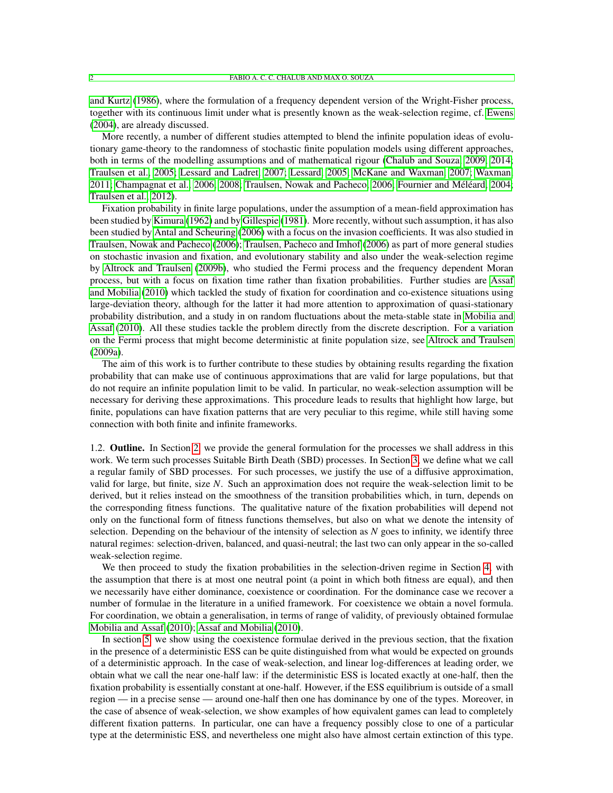[and Kurtz](#page-31-6) [\(1986\)](#page-31-6), where the formulation of a frequency dependent version of the Wright-Fisher process, together with its continuous limit under what is presently known as the weak-selection regime, cf. [Ewens](#page-31-2) [\(2004\)](#page-31-2), are already discussed.

More recently, a number of different studies attempted to blend the infinite population ideas of evolutionary game-theory to the randomness of stochastic finite population models using different approaches, both in terms of the modelling assumptions and of mathematical rigour [\(Chalub and Souza, 2009,](#page-31-7) [2014;](#page-31-8) [Traulsen et al., 2005;](#page-32-7) [Lessard and Ladret, 2007;](#page-32-8) [Lessard, 2005;](#page-31-9) [McKane and Waxman, 2007;](#page-32-9) [Waxman,](#page-32-10)  $2011$ ; Champagnat et al.,  $2006$ ,  $2008$ ; Traulsen, Nowak and Pacheco,  $2006$ ; Fournier and Méléard,  $2004$ ; [Traulsen et al., 2012\)](#page-32-12).

Fixation probability in finite large populations, under the assumption of a mean-field approximation has been studied by [Kimura](#page-31-1) [\(1962\)](#page-31-1) and by [Gillespie](#page-31-13) [\(1981\)](#page-31-13). More recently, without such assumption, it has also been studied by [Antal and Scheuring](#page-31-14) [\(2006\)](#page-31-14) with a focus on the invasion coefficients. It was also studied in [Traulsen, Nowak and Pacheco](#page-32-11) [\(2006\)](#page-32-11); [Traulsen, Pacheco and Imhof](#page-32-13) [\(2006\)](#page-32-13) as part of more general studies on stochastic invasion and fixation, and evolutionary stability and also under the weak-selection regime by [Altrock and Traulsen](#page-31-15) [\(2009b\)](#page-31-15), who studied the Fermi process and the frequency dependent Moran process, but with a focus on fixation time rather than fixation probabilities. Further studies are [Assaf](#page-31-16) [and Mobilia](#page-31-16) [\(2010\)](#page-31-16) which tackled the study of fixation for coordination and co-existence situations using large-deviation theory, although for the latter it had more attention to approximation of quasi-stationary probability distribution, and a study in on random fluctuations about the meta-stable state in [Mobilia and](#page-32-14) [Assaf](#page-32-14) [\(2010\)](#page-32-14). All these studies tackle the problem directly from the discrete description. For a variation on the Fermi process that might become deterministic at finite population size, see [Altrock and Traulsen](#page-31-17) [\(2009a\)](#page-31-17).

The aim of this work is to further contribute to these studies by obtaining results regarding the fixation probability that can make use of continuous approximations that are valid for large populations, but that do not require an infinite population limit to be valid. In particular, no weak-selection assumption will be necessary for deriving these approximations. This procedure leads to results that highlight how large, but finite, populations can have fixation patterns that are very peculiar to this regime, while still having some connection with both finite and infinite frameworks.

1.2. Outline. In Section [2,](#page-3-0) we provide the general formulation for the processes we shall address in this work. We term such processes Suitable Birth Death (SBD) processes. In Section [3,](#page-4-0) we define what we call a regular family of SBD processes. For such processes, we justify the use of a diffusive approximation, valid for large, but finite, size *N*. Such an approximation does not require the weak-selection limit to be derived, but it relies instead on the smoothness of the transition probabilities which, in turn, depends on the corresponding fitness functions. The qualitative nature of the fixation probabilities will depend not only on the functional form of fitness functions themselves, but also on what we denote the intensity of selection. Depending on the behaviour of the intensity of selection as *N* goes to infinity, we identify three natural regimes: selection-driven, balanced, and quasi-neutral; the last two can only appear in the so-called weak-selection regime.

We then proceed to study the fixation probabilities in the selection-driven regime in Section [4,](#page-7-0) with the assumption that there is at most one neutral point (a point in which both fitness are equal), and then we necessarily have either dominance, coexistence or coordination. For the dominance case we recover a number of formulae in the literature in a unified framework. For coexistence we obtain a novel formula. For coordination, we obtain a generalisation, in terms of range of validity, of previously obtained formulae [Mobilia and Assaf](#page-32-14) [\(2010\)](#page-32-14); [Assaf and Mobilia](#page-31-16) [\(2010\)](#page-31-16).

In section [5,](#page-9-0) we show using the coexistence formulae derived in the previous section, that the fixation in the presence of a deterministic ESS can be quite distinguished from what would be expected on grounds of a deterministic approach. In the case of weak-selection, and linear log-differences at leading order, we obtain what we call the near one-half law: if the deterministic ESS is located exactly at one-half, then the fixation probability is essentially constant at one-half. However, if the ESS equilibrium is outside of a small region — in a precise sense — around one-half then one has dominance by one of the types. Moreover, in the case of absence of weak-selection, we show examples of how equivalent games can lead to completely different fixation patterns. In particular, one can have a frequency possibly close to one of a particular type at the deterministic ESS, and nevertheless one might also have almost certain extinction of this type.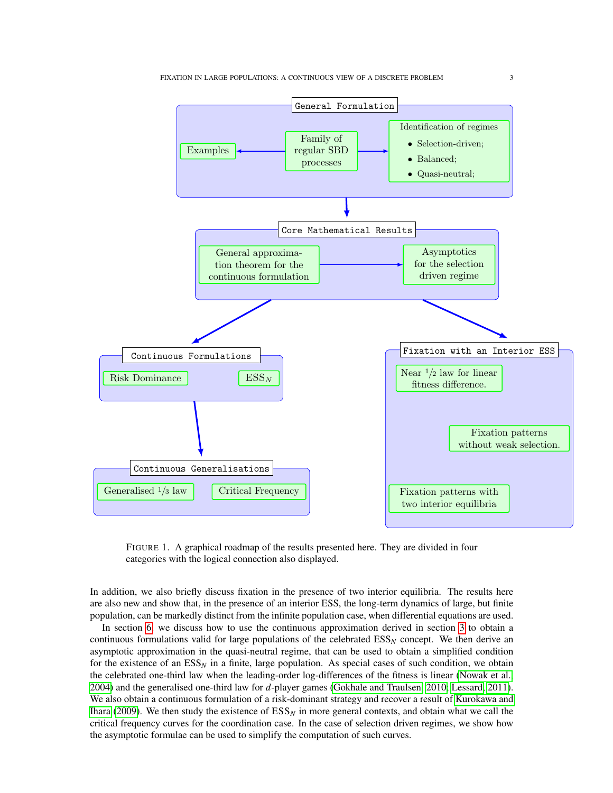<span id="page-2-0"></span>

FIGURE 1. A graphical roadmap of the results presented here. They are divided in four categories with the logical connection also displayed.

In addition, we also briefly discuss fixation in the presence of two interior equilibria. The results here are also new and show that, in the presence of an interior ESS, the long-term dynamics of large, but finite population, can be markedly distinct from the infinite population case, when differential equations are used.

In section [6,](#page-18-0) we discuss how to use the continuous approximation derived in section [3](#page-4-0) to obtain a continuous formulations valid for large populations of the celebrated  $ESS<sub>N</sub>$  concept. We then derive an asymptotic approximation in the quasi-neutral regime, that can be used to obtain a simplified condition for the existence of an  $ESS<sub>N</sub>$  in a finite, large population. As special cases of such condition, we obtain the celebrated one-third law when the leading-order log-differences of the fitness is linear [\(Nowak et al.,](#page-32-6) [2004\)](#page-32-6) and the generalised one-third law for *d*-player games [\(Gokhale and Traulsen, 2010;](#page-31-18) [Lessard, 2011\)](#page-32-15). We also obtain a continuous formulation of a risk-dominant strategy and recover a result of [Kurokawa and](#page-31-19) [Ihara](#page-31-19) [\(2009\)](#page-31-19). We then study the existence of  $ESS<sub>N</sub>$  in more general contexts, and obtain what we call the critical frequency curves for the coordination case. In the case of selection driven regimes, we show how the asymptotic formulae can be used to simplify the computation of such curves.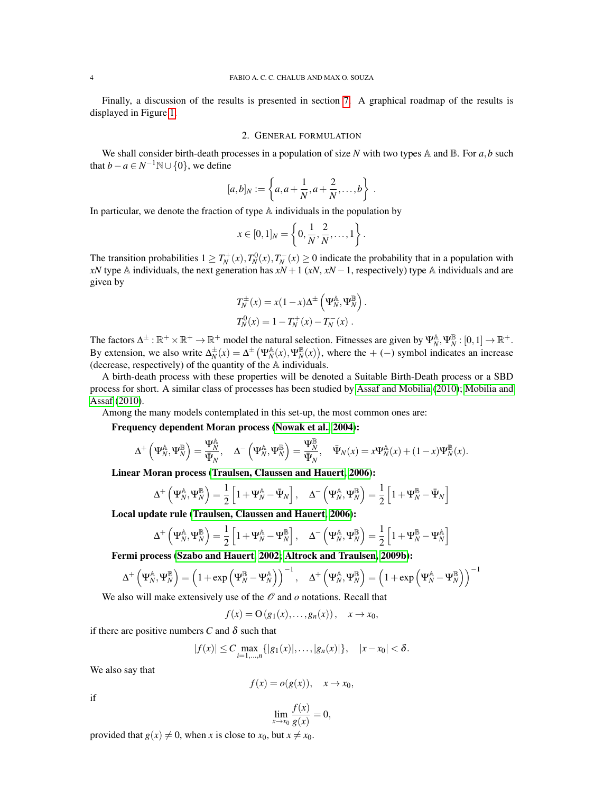Finally, a discussion of the results is presented in section [7.](#page-22-0) A graphical roadmap of the results is displayed in Figure [1.](#page-2-0)

#### 2. GENERAL FORMULATION

<span id="page-3-0"></span>We shall consider birth-death processes in a population of size *N* with two types  $\mathbb A$  and  $\mathbb B$ . For *a*,*b* such that  $b - a \in N^{-1}\mathbb{N} \cup \{0\}$ , we define

$$
[a,b]_N := \left\{ a, a + \frac{1}{N}, a + \frac{2}{N}, \dots, b \right\} .
$$

In particular, we denote the fraction of type  $A$  individuals in the population by

$$
x \in [0,1]_N = \left\{0, \frac{1}{N}, \frac{2}{N}, \dots, 1\right\}.
$$

The transition probabilities  $1 \geq T_N^+(x)$ ,  $T_N^0(x)$ ,  $T_N^-(x) \geq 0$  indicate the probability that in a population with *xN* type A individuals, the next generation has  $xN + 1$  ( $xN$ ,  $xN - 1$ , respectively) type A individuals and are given by

$$
T_N^{\pm}(x) = x(1-x)\Delta^{\pm} (\Psi_N^{\mathbb{A}}, \Psi_N^{\mathbb{B}})
$$
  

$$
T_N^0(x) = 1 - T_N^+(x) - T_N^-(x).
$$

.

The factors  $\Delta^{\pm} : \mathbb{R}^+ \times \mathbb{R}^+ \to \mathbb{R}^+$  model the natural selection. Fitnesses are given by  $\Psi_N^{\mathbb{A}}, \Psi_N^{\mathbb{B}} : [0,1] \to \mathbb{R}^+$ . By extension, we also write  $\Delta_N^{\pm}(x) = \Delta^{\pm}(\Psi_N^{\mathbb{A}}(x), \Psi_N^{\mathbb{B}}(x))$ , where the + (−) symbol indicates an increase (decrease, respectively) of the quantity of the A individuals.

A birth-death process with these properties will be denoted a Suitable Birth-Death process or a SBD process for short. A similar class of processes has been studied by [Assaf and Mobilia](#page-31-16) [\(2010\)](#page-31-16); [Mobilia and](#page-32-14) [Assaf](#page-32-14) [\(2010\)](#page-32-14).

Among the many models contemplated in this set-up, the most common ones are:

Frequency dependent Moran process [\(Nowak et al., 2004\)](#page-32-6):

$$
\Delta^+\left(\Psi_N^{\mathbb A},\Psi_N^{\mathbb B}\right)=\frac{\Psi_N^{\mathbb A}}{\bar\Psi_N},\quad \Delta^-\left(\Psi_N^{\mathbb A},\Psi_N^{\mathbb B}\right)=\frac{\Psi_N^{\mathbb B}}{\bar\Psi_N},\quad \bar\Psi_N(x)=x\Psi_N^{\mathbb A}(x)+(1-x)\Psi_N^{\mathbb B}(x).
$$

Linear Moran process [\(Traulsen, Claussen and Hauert, 2006\)](#page-32-16):

$$
\Delta^+\left(\Psi_N^{\mathbb{A}},\Psi_N^{\mathbb{B}}\right)=\frac{1}{2}\left[1+\Psi_N^{\mathbb{A}}-\bar{\Psi}_N\right],\quad \Delta^-\left(\Psi_N^{\mathbb{A}},\Psi_N^{\mathbb{B}}\right)=\frac{1}{2}\left[1+\Psi_N^{\mathbb{B}}-\bar{\Psi}_N\right]
$$

Local update rule [\(Traulsen, Claussen and Hauert, 2006\)](#page-32-16):

$$
\Delta^+\left(\Psi_N^{\mathbb{A}},\Psi_N^{\mathbb{B}}\right)=\frac{1}{2}\left[1+\Psi_N^{\mathbb{A}}-\Psi_N^{\mathbb{B}}\right],\quad \Delta^-\left(\Psi_N^{\mathbb{A}},\Psi_N^{\mathbb{B}}\right)=\frac{1}{2}\left[1+\Psi_N^{\mathbb{B}}-\Psi_N^{\mathbb{A}}\right]
$$

Fermi process [\(Szabo and Hauert, 2002;](#page-32-17) [Altrock and Traulsen, 2009b\)](#page-31-15):

$$
\Delta^+\left(\Psi_N^{\mathbb{A}},\Psi_N^{\mathbb{B}}\right)=\left(1+\exp\left(\Psi_N^{\mathbb{B}}-\Psi_N^{\mathbb{A}}\right)\right)^{-1},\quad \Delta^+\left(\Psi_N^{\mathbb{A}},\Psi_N^{\mathbb{B}}\right)=\left(1+\exp\left(\Psi_N^{\mathbb{A}}-\Psi_N^{\mathbb{B}}\right)\right)^{-1}
$$

We also will make extensively use of the  $\mathcal O$  and  $o$  notations. Recall that

$$
f(x) = O(g_1(x),...,g_n(x)), \quad x \to x_0,
$$

if there are positive numbers *C* and  $\delta$  such that

$$
|f(x)| \leq C \max_{i=1,\dots,n} \{|g_1(x)|,\dots,|g_n(x)|\}, \quad |x-x_0| < \delta.
$$

We also say that

$$
f(x) = o(g(x)), \quad x \to x_0,
$$

if

$$
\lim_{x \to x_0} \frac{f(x)}{g(x)} = 0,
$$

provided that  $g(x) \neq 0$ , when *x* is close to  $x_0$ , but  $x \neq x_0$ .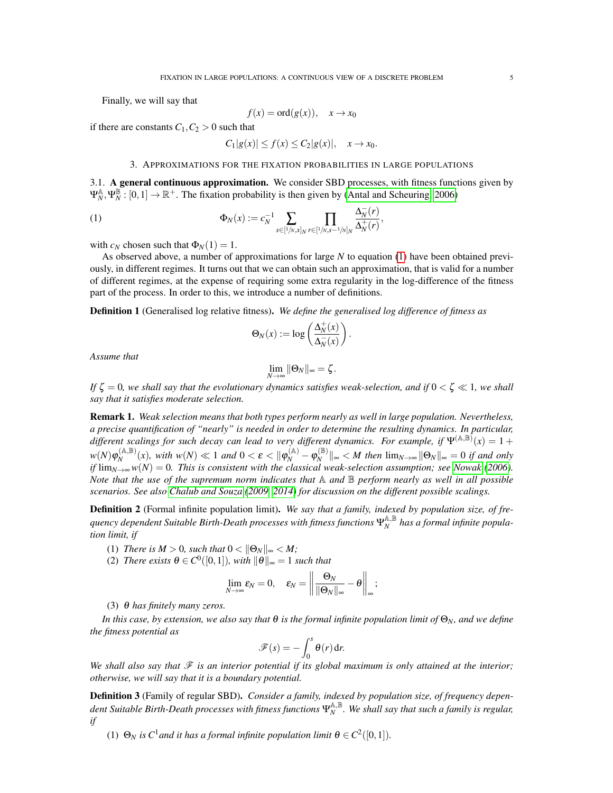Finally, we will say that

$$
f(x) = \text{ord}(g(x)), \quad x \to x_0
$$

if there are constants  $C_1, C_2 > 0$  such that

<span id="page-4-1"></span> $C_1|g(x)| \le f(x) \le C_2|g(x)|, \quad x \to x_0.$ 

## 3. APPROXIMATIONS FOR THE FIXATION PROBABILITIES IN LARGE POPULATIONS

<span id="page-4-0"></span>3.1. A general continuous approximation. We consider SBD processes, with fitness functions given by  $\Psi_N^{\mathbb{A}}, \Psi_N^{\mathbb{B}}$ :  $[0,1] \to \mathbb{R}^+$ . The fixation probability is then given by [\(Antal and Scheuring, 2006\)](#page-31-14)

,

(1) 
$$
\Phi_N(x) := c_N^{-1} \sum_{s \in [1/n, x]_N} \prod_{r \in [1/n, s-1/n]_N} \frac{\Delta_N^{-}(r)}{\Delta_N^{+}(r)}
$$

with  $c_N$  chosen such that  $\Phi_N(1) = 1$ .

As observed above, a number of approximations for large *N* to equation [\(1\)](#page-4-1) have been obtained previously, in different regimes. It turns out that we can obtain such an approximation, that is valid for a number of different regimes, at the expense of requiring some extra regularity in the log-difference of the fitness part of the process. In order to this, we introduce a number of definitions.

Definition 1 (Generalised log relative fitness). *We define the generalised log difference of fitness as*

$$
\Theta_N(x) := \log \left( \frac{\Delta_N^+(x)}{\Delta_N^-(x)} \right).
$$

*Assume that*

$$
\lim_{N\to\infty}\|\Theta_N\|_{\infty}=\zeta.
$$

*If*  $\zeta = 0$ , we shall say that the evolutionary dynamics satisfies weak-selection, and if  $0 < \zeta \ll 1$ , we shall *say that it satisfies moderate selection.*

Remark 1. *Weak selection means that both types perform nearly as well in large population. Nevertheless, a precise quantification of "nearly" is needed in order to determine the resulting dynamics. In particular,* different scalings for such decay can lead to very different dynamics. For example, if  $\Psi^{(A,B)}(x) = 1 +$  $w(N) \varphi_N^{(\mathbb{A},\mathbb{B})}$  $\int_N^{(A,\mathbb{B})}(x)$ , with  $w(N) \ll 1$  and  $0 < \varepsilon < {\|\phi_N^{(A)} - \phi_N^{(\mathbb{B})}\|}$  $\|W_N^{(\mathbb{D})}\|_{\infty} < M$  then  $\lim_{N \to \infty} \|\Theta_N\|_{\infty} = 0$  *if and only if*  $\lim_{N\to\infty} w(N) = 0$ . This is consistent with the classical weak-selection assumption; see [Nowak](#page-32-2) [\(2006\)](#page-32-2). *Note that the use of the supremum norm indicates that* A *and* B *perform nearly as well in all possible scenarios. See also [Chalub and Souza](#page-31-7) [\(2009,](#page-31-7) [2014\)](#page-31-8) for discussion on the different possible scalings.*

<span id="page-4-2"></span>Definition 2 (Formal infinite population limit). *We say that a family, indexed by population size, of frequency dependent Suitable Birth-Death processes with fitness functions*  $\Psi_N^{\mathbb{A},\mathbb{B}}$  *has a formal infinite population limit, if*

- (1) *There is*  $M > 0$ *, such that*  $0 < ||\Theta_N||_{\infty} < M$ *;*
- (2) *There exists*  $\theta \in C^0([0,1])$ *, with*  $\|\theta\|_{\infty} = 1$  *such that*

$$
\lim_{N\to\infty}\varepsilon_N=0,\quad \varepsilon_N=\left\|\frac{\Theta_N}{\|\Theta_N\|_{\infty}}-\theta\right\|_{\infty};
$$

(3) θ *has finitely many zeros.*

*In this case, by extension, we also say that* θ *is the formal infinite population limit of* Θ*N, and we define the fitness potential as*

$$
\mathscr{F}(s) = -\int_0^s \theta(r) \, \mathrm{d}r.
$$

We shall also say that  $\mathcal F$  *is an interior potential if its global maximum is only attained at the interior; otherwise, we will say that it is a boundary potential.*

<span id="page-4-3"></span>Definition 3 (Family of regular SBD). *Consider a family, indexed by population size, of frequency dependent Suitable Birth-Death processes with fitness functions*  $\Psi_N^{\mathbb{A},\mathbb{B}}$ . We shall say that such a family is regular, *if*

(1)  $\Theta_N$  *is*  $C^1$  *and it has a formal infinite population limit*  $\theta \in C^2([0,1])$ *.*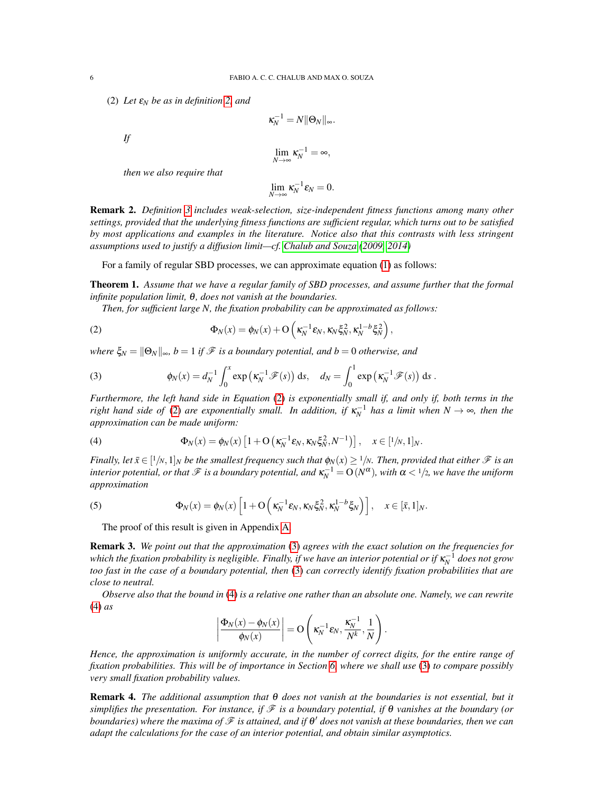(2) *Let* ε*<sup>N</sup> be as in definition [2,](#page-4-2) and*

*If*

$$
\lim_{N\to\infty}\kappa_N^{-1}=\infty,
$$

 $\kappa_N^{-1} = N \|\Theta_N\|_{\infty}.$ 

*then we also require that*

$$
\lim_{N\to\infty}\kappa_N^{-1}\varepsilon_N=0.
$$

Remark 2. *Definition [3](#page-4-3) includes weak-selection, size-independent fitness functions among many other settings, provided that the underlying fitness functions are sufficient regular, which turns out to be satisfied by most applications and examples in the literature. Notice also that this contrasts with less stringent assumptions used to justify a diffusion limit—cf. [Chalub and Souza](#page-31-7) [\(2009,](#page-31-7) [2014\)](#page-31-8)*

For a family of regular SBD processes, we can approximate equation [\(1\)](#page-4-1) as follows:

Theorem 1. *Assume that we have a regular family of SBD processes, and assume further that the formal infinite population limit,* θ*, does not vanish at the boundaries.*

<span id="page-5-0"></span>*Then, for sufficient large N, the fixation probability can be approximated as follows:*

(2) 
$$
\Phi_N(x) = \phi_N(x) + \mathcal{O}\left(\kappa_N^{-1} \varepsilon_N, \kappa_N \xi_N^2, \kappa_N^{1-b} \xi_N^2\right),
$$

*where*  $\xi_N = ||\Theta_N||_{\infty}$ ,  $b = 1$  *if*  $\mathcal F$  *is a boundary potential, and*  $b = 0$  *otherwise, and* 

<span id="page-5-1"></span>(3) 
$$
\phi_N(x) = d_N^{-1} \int_0^x \exp\left(\kappa_N^{-1} \mathcal{F}(s)\right) ds, \quad d_N = \int_0^1 \exp\left(\kappa_N^{-1} \mathcal{F}(s)\right) ds.
$$

*Furthermore, the left hand side in Equation* [\(2\)](#page-5-0) *is exponentially small if, and only if, both terms in the right hand side of* [\(2\)](#page-5-0) *are exponentially small. In addition, if*  $\kappa_N^{-1}$  *has a limit when*  $N \to \infty$ *, then the approximation can be made uniform:*

<span id="page-5-2"></span>(4) 
$$
\Phi_N(x) = \phi_N(x) \left[ 1 + \mathcal{O} \left( \kappa_N^{-1} \varepsilon_N, \kappa_N \xi_N^2, N^{-1} \right) \right], \quad x \in [1/n, 1]_N.
$$

Finally, let  $\bar{x}$   $\in$   $[1/n, 1]_N$  *be the smallest frequency such that*  $\phi_N(x) \geq 1/n$ *. Then, provided that either*  $\mathscr F$  *is an*  $i$ nterior potential, or that  $\mathscr F$  is a boundary potential, and  $\kappa_N^{-1} = O(N^\alpha)$ , with  $\alpha < 1/2$ , we have the uniform *approximation*

(5) 
$$
\Phi_N(x) = \phi_N(x) \left[ 1 + \mathcal{O} \left( \kappa_N^{-1} \varepsilon_N, \kappa_N \xi_N^2, \kappa_N^{1-b} \xi_N \right) \right], \quad x \in [\bar{x}, 1]_N.
$$

<span id="page-5-3"></span>The proof of this result is given in Appendix [A.](#page-24-0)

Remark 3. *We point out that the approximation* [\(3\)](#page-5-1) *agrees with the exact solution on the frequencies for* which the fixation probability is negligible. Finally, if we have an interior potential or if  $\kappa_N^{-1}$  does not grow *too fast in the case of a boundary potential, then* [\(3\)](#page-5-1) *can correctly identify fixation probabilities that are close to neutral.*

*Observe also that the bound in* [\(4\)](#page-5-2) *is a relative one rather than an absolute one. Namely, we can rewrite* [\(4\)](#page-5-2) *as*

$$
\left|\frac{\Phi_N(x) - \phi_N(x)}{\phi_N(x)}\right| = O\left(\kappa_N^{-1} \varepsilon_N, \frac{\kappa_N^{-1}}{N^k}, \frac{1}{N}\right).
$$

*Hence, the approximation is uniformly accurate, in the number of correct digits, for the entire range of fixation probabilities. This will be of importance in Section [6,](#page-18-0) where we shall use* [\(3\)](#page-5-1) *to compare possibly very small fixation probability values.*

Remark 4. *The additional assumption that* θ *does not vanish at the boundaries is not essential, but it simplifies the presentation. For instance, if* F *is a boundary potential, if* θ *vanishes at the boundary (or boundaries) where the maxima of*  $\mathscr F$  *is attained, and if*  $\theta'$  *does not vanish at these boundaries, then we can adapt the calculations for the case of an interior potential, and obtain similar asymptotics.*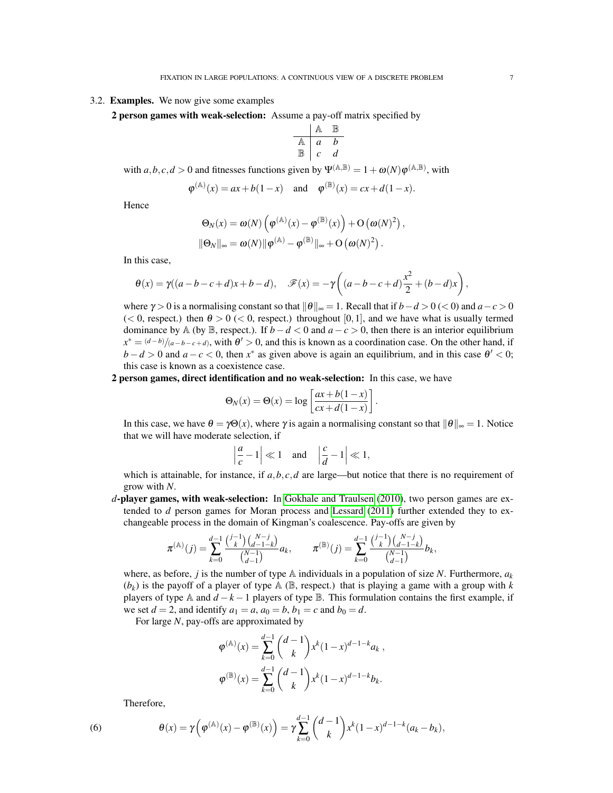### 3.2. Examples. We now give some examples

2 person games with weak-selection: Assume a pay-off matrix specified by

$$
\begin{array}{c|cc}\n & \mathbb{A} & \mathbb{B} \\
\hline\n\mathbb{A} & a & b \\
\mathbb{B} & c & d\n\end{array}
$$

with  $a, b, c, d > 0$  and fitnesses functions given by  $\Psi^{(\mathbb{A}, \mathbb{B})} = 1 + \omega(N) \varphi^{(\mathbb{A}, \mathbb{B})}$ , with

$$
\varphi^{(\mathbb{A})}(x) = ax + b(1-x)
$$
 and  $\varphi^{(\mathbb{B})}(x) = cx + d(1-x)$ .

Hence

$$
\Theta_N(x) = \omega(N) \left( \varphi^{(\mathbb{A})}(x) - \varphi^{(\mathbb{B})}(x) \right) + O\left( \omega(N)^2 \right),
$$
  

$$
\|\Theta_N\|_{\infty} = \omega(N) \|\varphi^{(\mathbb{A})} - \varphi^{(\mathbb{B})}\|_{\infty} + O\left( \omega(N)^2 \right).
$$

In this case,

$$
\theta(x) = \gamma((a-b-c+d)x+b-d), \quad \mathscr{F}(x) = -\gamma\left((a-b-c+d)\frac{x^2}{2} + (b-d)x\right),
$$

where  $\gamma > 0$  is a normalising constant so that  $\|\theta\|_{\infty} = 1$ . Recall that if  $b - d > 0$  (< 0) and  $a - c > 0$  $(< 0$ , respect.) then  $\theta > 0 \, (< 0$ , respect.) throughout [0,1], and we have what is usually termed dominance by A (by B, respect.). If  $b - d < 0$  and  $a - c > 0$ , then there is an interior equilibrium  $x^* = \frac{(d-b)}{(a-b-c+d)}$ , with  $\theta' > 0$ , and this is known as a coordination case. On the other hand, if  $b - d > 0$  and  $a - c < 0$ , then  $x^*$  as given above is again an equilibrium, and in this case  $\theta' < 0$ ; this case is known as a coexistence case.

2 person games, direct identification and no weak-selection: In this case, we have

$$
\Theta_N(x) = \Theta(x) = \log \left[ \frac{ax + b(1-x)}{cx + d(1-x)} \right].
$$

In this case, we have  $\theta = \gamma \Theta(x)$ , where  $\gamma$  is again a normalising constant so that  $\|\theta\|_{\infty} = 1$ . Notice that we will have moderate selection, if

$$
\left|\frac{a}{c} - 1\right| \ll 1 \quad \text{and} \quad \left|\frac{c}{d} - 1\right| \ll 1,
$$

which is attainable, for instance, if  $a, b, c, d$  are large—but notice that there is no requirement of grow with *N*.

*d*-player games, with weak-selection: In [Gokhale and Traulsen](#page-31-18) [\(2010\)](#page-31-18), two person games are extended to *d* person games for Moran process and [Lessard](#page-32-15) [\(2011\)](#page-32-15) further extended they to exchangeable process in the domain of Kingman's coalescence. Pay-offs are given by

$$
\pi^{(\mathbb{A})}(j) = \sum_{k=0}^{d-1} \frac{\binom{j-1}{k} \binom{N-j}{d-1-k}}{\binom{N-1}{d-1}} a_k, \qquad \pi^{(\mathbb{B})}(j) = \sum_{k=0}^{d-1} \frac{\binom{j-1}{k} \binom{N-j}{d-1-k}}{\binom{N-1}{d-1}} b_k,
$$

where, as before, *j* is the number of type  $\mathbb A$  individuals in a population of size *N*. Furthermore,  $a_k$  $(b_k)$  is the payoff of a player of type  $A \times B$ , respect.) that is playing a game with a group with *k* players of type A and  $d - k - 1$  players of type B. This formulation contains the first example, if we set  $d = 2$ , and identify  $a_1 = a$ ,  $a_0 = b$ ,  $b_1 = c$  and  $b_0 = d$ .

For large *N*, pay-offs are approximated by

$$
\varphi^{(\mathbb{A})}(x) = \sum_{k=0}^{d-1} {d-1 \choose k} x^k (1-x)^{d-1-k} a_k ,
$$
  

$$
\varphi^{(\mathbb{B})}(x) = \sum_{k=0}^{d-1} {d-1 \choose k} x^k (1-x)^{d-1-k} b_k.
$$

<span id="page-6-0"></span>Therefore,

 $(6)$ 

$$
\theta(x) = \gamma \Big( \varphi^{(\mathbb{A})}(x) - \varphi^{(\mathbb{B})}(x) \Big) = \gamma \sum_{k=0}^{d-1} {d-1 \choose k} x^{k} (1-x)^{d-1-k} (a_k - b_k),
$$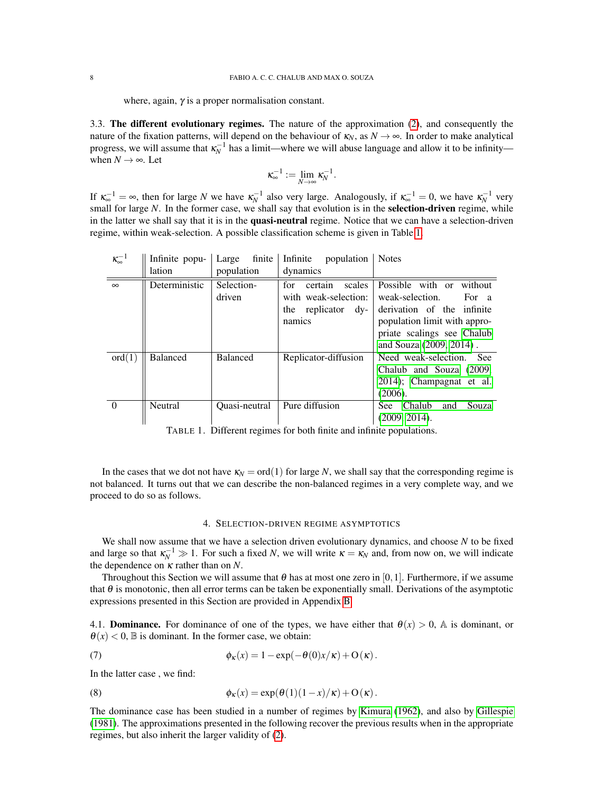where, again,  $\gamma$  is a proper normalisation constant.

3.3. The different evolutionary regimes. The nature of the approximation [\(2\)](#page-5-0), and consequently the nature of the fixation patterns, will depend on the behaviour of  $\kappa_N$ , as  $N \to \infty$ . In order to make analytical progress, we will assume that  $\kappa_N^{-1}$  has a limit—where we will abuse language and allow it to be infinity when  $N \rightarrow \infty$ . Let

$$
\kappa_{\infty}^{-1}:=\lim_{N\to\infty}\kappa_N^{-1}.
$$

If  $\kappa_{\infty}^{-1} = \infty$ , then for large *N* we have  $\kappa_N^{-1}$  also very large. Analogously, if  $\kappa_{\infty}^{-1} = 0$ , we have  $\kappa_N^{-1}$  very small for large *N*. In the former case, we shall say that evolution is in the **selection-driven** regime, while in the latter we shall say that it is in the quasi-neutral regime. Notice that we can have a selection-driven regime, within weak-selection. A possible classification scheme is given in Table [1.](#page-7-1)

<span id="page-7-1"></span>

| $\kappa^{-1}$ | Infinite popu-  | finite<br>Large | Infinite<br>population   | <b>Notes</b>                         |
|---------------|-----------------|-----------------|--------------------------|--------------------------------------|
|               | lation          | population      | dynamics                 |                                      |
| $\infty$      | Deterministic   | Selection-      | certain<br>scales<br>for | Possible with or<br>without          |
|               |                 | driven          | with weak-selection:     | weak-selection.<br>For a             |
|               |                 |                 | the replicator $dy -$    | derivation of the infinite           |
|               |                 |                 | namics                   | population limit with appro-         |
|               |                 |                 |                          | priate scalings see Chalub           |
|               |                 |                 |                          | and Souza (2009, 2014).              |
| ord(1)        | <b>Balanced</b> | <b>Balanced</b> | Replicator-diffusion     | Need weak-selection.<br>- See        |
|               |                 |                 |                          | Chalub and Souza (2009,              |
|               |                 |                 |                          | 2014); Champagnat et al.             |
|               |                 |                 |                          | (2006).                              |
| $\Omega$      | <b>Neutral</b>  | Quasi-neutral   | Pure diffusion           | Chalub<br>Souza<br><b>See</b><br>and |
|               |                 |                 |                          | (2009, 2014).                        |

TABLE 1. Different regimes for both finite and infinite populations.

In the cases that we dot not have  $\kappa_N = \text{ord}(1)$  for large *N*, we shall say that the corresponding regime is not balanced. It turns out that we can describe the non-balanced regimes in a very complete way, and we proceed to do so as follows.

#### <span id="page-7-2"></span>4. SELECTION-DRIVEN REGIME ASYMPTOTICS

<span id="page-7-0"></span>We shall now assume that we have a selection driven evolutionary dynamics, and choose *N* to be fixed and large so that  $\kappa_N^{-1} \gg 1$ . For such a fixed *N*, we will write  $\kappa = \kappa_N$  and, from now on, we will indicate the dependence on κ rather than on *N*.

Throughout this Section we will assume that  $\theta$  has at most one zero in [0,1]. Furthermore, if we assume that  $\theta$  is monotonic, then all error terms can be taken be exponentially small. Derivations of the asymptotic expressions presented in this Section are provided in Appendix [B](#page-28-0)

4.1. **Dominance.** For dominance of one of the types, we have either that  $\theta(x) > 0$ , A is dominant, or  $\theta(x)$  < 0,  $\mathbb B$  is dominant. In the former case, we obtain:

(7) 
$$
\phi_{\kappa}(x) = 1 - \exp(-\theta(0)x/\kappa) + O(\kappa).
$$

In the latter case , we find:

<span id="page-7-3"></span>(8) 
$$
\phi_{\kappa}(x) = \exp(\theta(1)(1-x)/\kappa) + O(\kappa).
$$

The dominance case has been studied in a number of regimes by [Kimura](#page-31-1) [\(1962\)](#page-31-1), and also by [Gillespie](#page-31-13) [\(1981\)](#page-31-13). The approximations presented in the following recover the previous results when in the appropriate regimes, but also inherit the larger validity of [\(2\)](#page-5-0).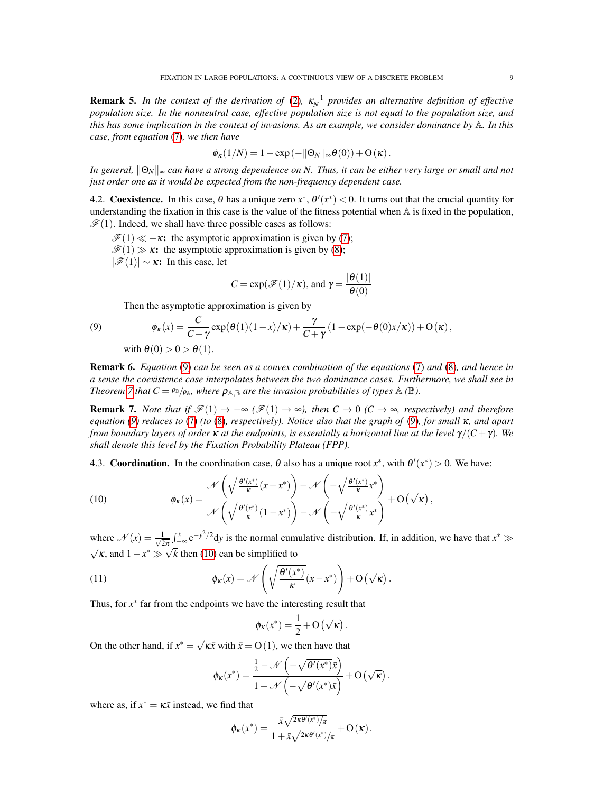**Remark 5.** In the context of the derivation of [\(2\)](#page-5-0),  $\kappa_N^{-1}$  provides an alternative definition of effective *population size. In the nonneutral case, effective population size is not equal to the population size, and this has some implication in the context of invasions. As an example, we consider dominance by* A*. In this case, from equation* [\(7\)](#page-7-2)*, we then have*

$$
\phi_{\kappa}(1/N) = 1 - \exp(-\|\Theta_N\|_{\infty}\theta(0)) + O(\kappa).
$$

*In general,*  $\|\Theta_N\|_∞$  *can have a strong dependence on N. Thus, it can be either very large or small and not just order one as it would be expected from the non-frequency dependent case.*

4.2. Coexistence. In this case,  $\theta$  has a unique zero  $x^*$ ,  $\theta'(x^*)$  < 0. It turns out that the crucial quantity for understanding the fixation in this case is the value of the fitness potential when  $A$  is fixed in the population,  $\mathcal{F}(1)$ . Indeed, we shall have three possible cases as follows:

 $\mathcal{F}(1) \ll -\kappa$ : the asymptotic approximation is given by [\(7\)](#page-7-2);

 $\mathcal{F}(1) \gg \kappa$ : the asymptotic approximation is given by [\(8\)](#page-7-3);

 $|\mathscr{F}(1)| \sim \kappa$ : In this case, let

$$
C = \exp(\mathcal{F}(1)/\kappa)
$$
, and  $\gamma = \frac{|\theta(1)|}{\theta(0)}$ 

<span id="page-8-0"></span>Then the asymptotic approximation is given by

$$
(9)
$$

(9) 
$$
\phi_{\kappa}(x) = \frac{C}{C+\gamma} \exp(\theta(1)(1-x)/\kappa) + \frac{\gamma}{C+\gamma} (1 - \exp(-\theta(0)x/\kappa)) + O(\kappa),
$$
  
with  $\theta(0) > 0 > \theta(1)$ .

<span id="page-8-2"></span>Remark 6. *Equation* [\(9\)](#page-8-0) *can be seen as a convex combination of the equations* [\(7\)](#page-7-2) *and* [\(8\)](#page-7-3)*, and hence in a sense the coexistence case interpolates between the two dominance cases. Furthermore, we shall see in Theorem 7 that*  $C = \frac{\rho_B}{\rho_A}$ *, where*  $\rho_{A,B}$  *are the invasion probabilities of types*  $A(B)$ *.* 

**Remark 7.** *Note that if*  $\mathscr{F}(1) \to -\infty$  ( $\mathscr{F}(1) \to \infty$ ), then  $C \to 0$  ( $C \to \infty$ , respectively) and therefore *equation [\(9\)](#page-8-0) reduces to* [\(7\)](#page-7-2) *(to* [\(8\)](#page-7-3)*, respectively). Notice also that the graph of* [\(9\)](#page-8-0)*, for small* κ*, and apart from boundary layers of order*  $\kappa$  *at the endpoints, is essentially a horizontal line at the level*  $\gamma/(C+\gamma)$ *. We shall denote this level by the Fixation Probability Plateau (FPP).*

4.3. **Coordination.** In the coordination case,  $\theta$  also has a unique root  $x^*$ , with  $\theta'(x^*) > 0$ . We have:

<span id="page-8-1"></span>(10) 
$$
\phi_{\kappa}(x) = \frac{\mathcal{N}\left(\sqrt{\frac{\theta'(x^*)}{\kappa}}(x-x^*)\right) - \mathcal{N}\left(-\sqrt{\frac{\theta'(x^*)}{\kappa}}x^*\right)}{\mathcal{N}\left(\sqrt{\frac{\theta'(x^*)}{\kappa}}(1-x^*)\right) - \mathcal{N}\left(-\sqrt{\frac{\theta'(x^*)}{\kappa}}x^*\right)} + O\left(\sqrt{\kappa}\right),
$$

where  $\mathcal{N}(x) = \frac{1}{\sqrt{2}}$  $\frac{1}{2\pi} \int_{-\infty}^{x} e^{-y^2/2} dy$  is the normal cumulative distribution. If, in addition, we have that  $x^* \gg$  $\sqrt{\kappa}$ , and  $1 - x^* \gg \sqrt{k}$  then [\(10\)](#page-8-1) can be simplified to

(11) 
$$
\phi_{\kappa}(x) = \mathcal{N}\left(\sqrt{\frac{\theta'(x^*)}{\kappa}}(x-x^*)\right) + O\left(\sqrt{\kappa}\right).
$$

Thus, for  $x^*$  far from the endpoints we have the interesting result that

$$
\phi_{\kappa}(x^*) = \frac{1}{2} + O\left(\sqrt{\kappa}\right).
$$

On the other hand, if  $x^* = \sqrt{\kappa} \bar{x}$  with  $\bar{x} = O(1)$ , we then have that

$$
\phi_{\mathbf{K}}(x^*) = \frac{\frac{1}{2} - \mathcal{N}\left(-\sqrt{\theta'(x^*)}\bar{x}\right)}{1 - \mathcal{N}\left(-\sqrt{\theta'(x^*)}\bar{x}\right)} + \mathcal{O}\left(\sqrt{\mathbf{K}}\right).
$$

where as, if  $x^* = \kappa \bar{x}$  instead, we find that

$$
\phi_{\kappa}(x^*) = \frac{\bar{x}\sqrt{2\kappa\theta'(x^*)/\pi}}{1+\bar{x}\sqrt{2\kappa\theta'(x^*)/\pi}} + O(\kappa).
$$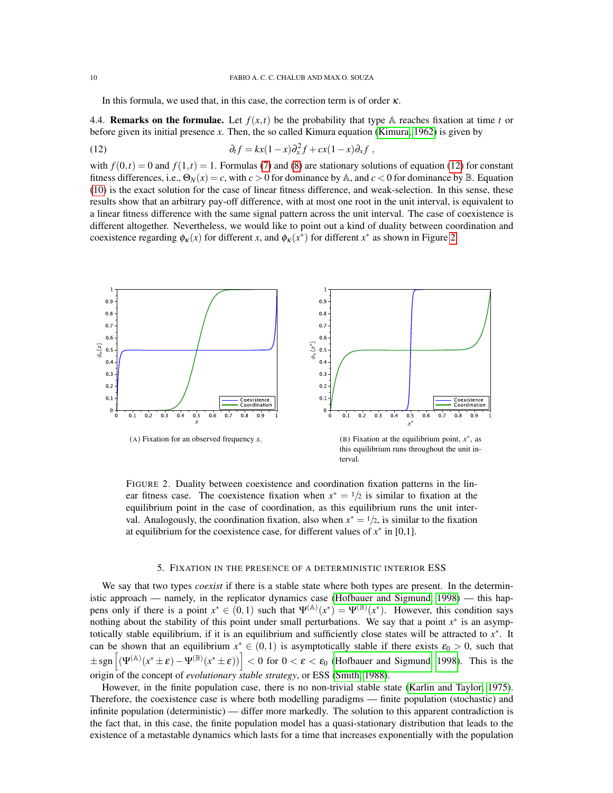<span id="page-9-1"></span>In this formula, we used that, in this case, the correction term is of order  $\kappa$ .

4.4. **Remarks on the formulae.** Let  $f(x,t)$  be the probability that type A reaches fixation at time *t* or before given its initial presence *x*. Then, the so called Kimura equation [\(Kimura, 1962\)](#page-31-1) is given by

(12) 
$$
\partial_t f = kx(1-x)\partial_x^2 f + cx(1-x)\partial_x f,
$$

with  $f(0,t) = 0$  and  $f(1,t) = 1$ . Formulas [\(7\)](#page-7-2) and [\(8\)](#page-7-3) are stationary solutions of equation [\(12\)](#page-9-1) for constant fitness differences, i.e.,  $\Theta_N(x) = c$ , with  $c > 0$  for dominance by A, and  $c < 0$  for dominance by B. Equation [\(10\)](#page-8-1) is the exact solution for the case of linear fitness difference, and weak-selection. In this sense, these results show that an arbitrary pay-off difference, with at most one root in the unit interval, is equivalent to a linear fitness difference with the same signal pattern across the unit interval. The case of coexistence is different altogether. Nevertheless, we would like to point out a kind of duality between coordination and coexistence regarding  $\phi_{\kappa}(x)$  for different *x*, and  $\phi_{\kappa}(x^*)$  for different *x*<sup>\*</sup> as shown in Figure [2.](#page-9-2)

<span id="page-9-2"></span>

FIGURE 2. Duality between coexistence and coordination fixation patterns in the linear fitness case. The coexistence fixation when  $x^* = \frac{1}{2}$  is similar to fixation at the equilibrium point in the case of coordination, as this equilibrium runs the unit interval. Analogously, the coordination fixation, also when  $x^* = \frac{1}{2}$ , is similar to the fixation at equilibrium for the coexistence case, for different values of  $x^*$  in [0,1].

#### 5. FIXATION IN THE PRESENCE OF A DETERMINISTIC INTERIOR ESS

<span id="page-9-0"></span>We say that two types *coexist* if there is a stable state where both types are present. In the deterministic approach — namely, in the replicator dynamics case [\(Hofbauer and Sigmund, 1998\)](#page-31-3) — this happens only if there is a point  $x^* \in (0,1)$  such that  $\Psi^{(\mathbb{A})}(x^*) = \Psi^{(\mathbb{B})}(x^*)$ . However, this condition says nothing about the stability of this point under small perturbations. We say that a point  $x^*$  is an asymptotically stable equilibrium, if it is an equilibrium and sufficiently close states will be attracted to *x* ∗ . It can be shown that an equilibrium  $x^* \in (0,1)$  is asymptotically stable if there exists  $\varepsilon_0 > 0$ , such that  $\pm$ sgn $\left[\left(\Psi^{(\mathbb{A})}(x^* \pm \varepsilon) - \Psi^{(\mathbb{B})}(x^* \pm \varepsilon)\right)\right] < 0$  for  $0 < \varepsilon < \varepsilon_0$  [\(Hofbauer and Sigmund, 1998\)](#page-31-3). This is the origin of the concept of *evolutionary stable strategy*, or ESS [\(Smith, 1988\)](#page-32-18).

However, in the finite population case, there is no non-trivial stable state [\(Karlin and Taylor, 1975\)](#page-31-20). Therefore, the coexistence case is where both modelling paradigms — finite population (stochastic) and infinite population (deterministic) — differ more markedly. The solution to this apparent contradiction is the fact that, in this case, the finite population model has a quasi-stationary distribution that leads to the existence of a metastable dynamics which lasts for a time that increases exponentially with the population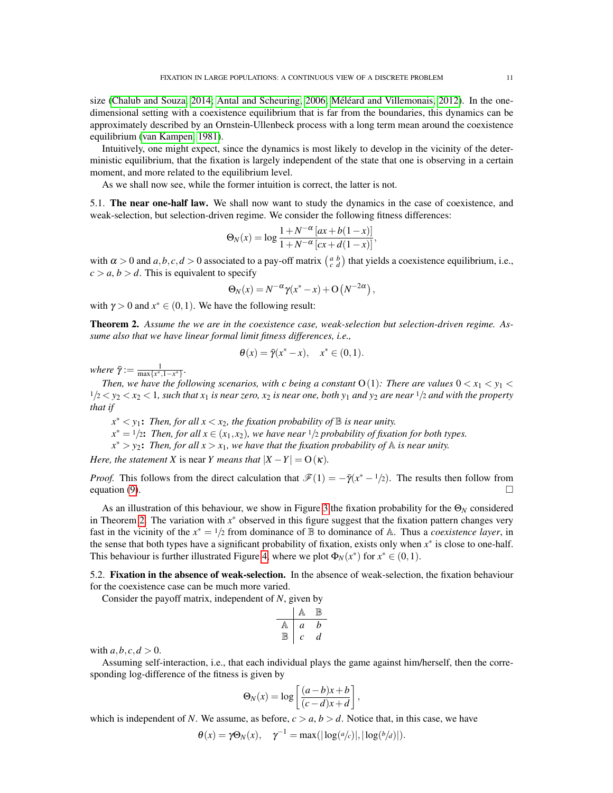size [\(Chalub and Souza, 2014;](#page-31-8) [Antal and Scheuring, 2006;](#page-31-14) Méléard and Villemonais, 2012). In the onedimensional setting with a coexistence equilibrium that is far from the boundaries, this dynamics can be approximately described by an Ornstein-Ullenbeck process with a long term mean around the coexistence equilibrium [\(van Kampen, 1981\)](#page-32-20).

Intuitively, one might expect, since the dynamics is most likely to develop in the vicinity of the deterministic equilibrium, that the fixation is largely independent of the state that one is observing in a certain moment, and more related to the equilibrium level.

As we shall now see, while the former intuition is correct, the latter is not.

5.1. The near one-half law. We shall now want to study the dynamics in the case of coexistence, and weak-selection, but selection-driven regime. We consider the following fitness differences:

$$
\Theta_N(x) = \log \frac{1 + N^{-\alpha} [ax + b(1-x)]}{1 + N^{-\alpha} [cx + d(1-x)]},
$$

with  $\alpha > 0$  and  $a, b, c, d > 0$  associated to a pay-off matrix  $\begin{pmatrix} a & b \\ c & d \end{pmatrix}$  that yields a coexistence equilibrium, i.e.,  $c > a, b > d$ . This is equivalent to specify

$$
\Theta_N(x) = N^{-\alpha} \gamma(x^* - x) + O(N^{-2\alpha}),
$$

with  $\gamma > 0$  and  $x^* \in (0,1)$ . We have the following result:

<span id="page-10-0"></span>Theorem 2. *Assume the we are in the coexistence case, weak-selection but selection-driven regime. Assume also that we have linear formal limit fitness differences, i.e.,*

$$
\theta(x) = \overline{\gamma}(x^* - x), \quad x^* \in (0, 1).
$$

 $where \space \bar{\gamma} := \frac{1}{\max\{x^*, 1-x^*\}}.$ 

*Then, we have the following scenarios, with c being a constant*  $O(1)$ *: There are values*  $0 < x_1 < y_1 <$  $1/2 < y_2 < x_2 < 1$ , such that  $x_1$  is near zero,  $x_2$  is near one, both  $y_1$  and  $y_2$  are near  $1/2$  and with the property *that if*

 $x^* < y_1$ : Then, for all  $x < x_2$ , the fixation probability of  $\mathbb B$  is near unity.  $x^* = 1/2$ : *Then, for all*  $x \in (x_1, x_2)$ *, we have near*  $1/2$  *probability of fixation for both types.* 

 $x^*$  >  $y_2$ : *Then, for all*  $x$  >  $x_1$ *, we have that the fixation probability of*  $\mathbb A$  *is near unity.* 

*Here, the statement X* is near *Y means that*  $|X - Y| = O(\kappa)$ *.* 

*Proof.* This follows from the direct calculation that  $\mathcal{F}(1) = -\bar{\gamma}(x^* - 1/2)$ . The results then follow from equation [\(9\)](#page-8-0).  $\Box$ 

As an illustration of this behaviour, we show in Figure [3](#page-11-0) the fixation probability for the  $\Theta_N$  considered in Theorem [2.](#page-10-0) The variation with *x* <sup>∗</sup> observed in this figure suggest that the fixation pattern changes very fast in the vicinity of the  $x^* = 1/2$  from dominance of  $\mathbb B$  to dominance of A. Thus a *coexistence layer*, in the sense that both types have a significant probability of fixation, exists only when  $x^*$  is close to one-half. This behaviour is further illustrated Figure [4,](#page-12-0) where we plot  $\Phi_N(x^*)$  for  $x^* \in (0,1)$ .

5.2. Fixation in the absence of weak-selection. In the absence of weak-selection, the fixation behaviour for the coexistence case can be much more varied.

Consider the payoff matrix, independent of *N*, given by

$$
\begin{array}{c|cc}\n & \mathbb{A} & \mathbb{B} \\
\hline\n\mathbb{A} & a & b \\
\mathbb{B} & c & d\n\end{array}
$$

with  $a, b, c, d > 0$ .

Assuming self-interaction, i.e., that each individual plays the game against him/herself, then the corresponding log-difference of the fitness is given by

$$
\Theta_N(x) = \log \left[ \frac{(a-b)x + b}{(c-d)x + d} \right],
$$

which is independent of *N*. We assume, as before,  $c > a$ ,  $b > d$ . Notice that, in this case, we have

$$
\theta(x) = \gamma \Theta_N(x), \quad \gamma^{-1} = \max(|\log(a/c)|, |\log(b/d)|).
$$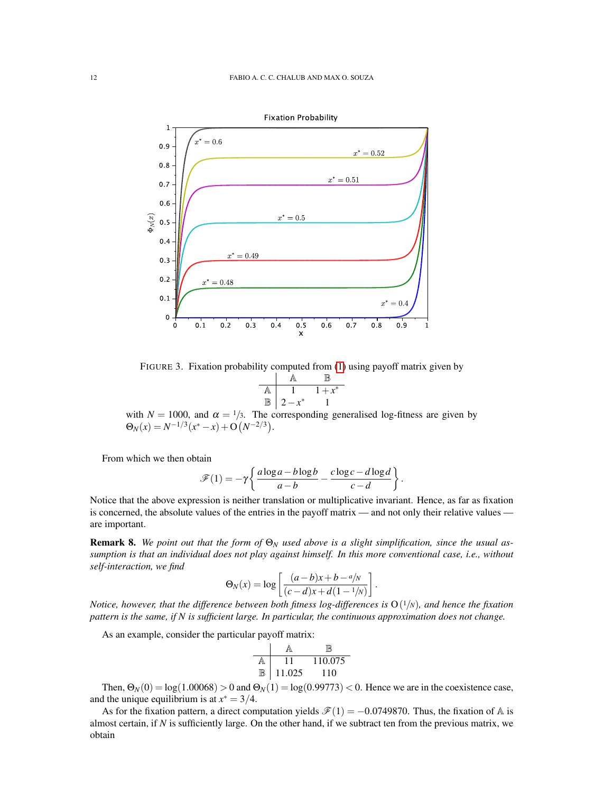<span id="page-11-0"></span>

FIGURE 3. Fixation probability computed from [\(1\)](#page-4-1) using payoff matrix given by

$$
\begin{array}{c|cc}\n & \mathbb{A} & \mathbb{B} \\
\hline\n\mathbb{A} & 1 & 1+x^* \\
\hline\n\mathbb{B} & 2-x^* & 1\n\end{array}
$$

with  $N = 1000$ , and  $\alpha = 1/3$ . The corresponding generalised log-fitness are given by  $\Theta_N(x) = N^{-1/3}(x^* - x) + O(N^{-2/3}).$ 

From which we then obtain

$$
\mathscr{F}(1) = -\gamma \left\{ \frac{a \log a - b \log b}{a - b} - \frac{c \log c - d \log d}{c - d} \right\}.
$$

Notice that the above expression is neither translation or multiplicative invariant. Hence, as far as fixation is concerned, the absolute values of the entries in the payoff matrix — and not only their relative values are important.

Remark 8. *We point out that the form of* Θ*<sup>N</sup> used above is a slight simplification, since the usual assumption is that an individual does not play against himself. In this more conventional case, i.e., without self-interaction, we find*

$$
\Theta_N(x) = \log \left[ \frac{(a-b)x + b - a/N}{(c-d)x + d(1-1/N)} \right].
$$

*Notice, however, that the difference between both fitness log-differences is* O( <sup>1</sup>/*N*)*, and hence the fixation pattern is the same, if N is sufficient large. In particular, the continuous approximation does not change.*

As an example, consider the particular payoff matrix:

$$
\begin{array}{c|cc}\n & \mathbb{A} & \mathbb{B} \\
\hline\n\mathbb{A} & 11 & 110.075 \\
\hline\n\mathbb{B} & 11.025 & 110\n\end{array}
$$

Then,  $\Theta_N(0) = \log(1.00068) > 0$  and  $\Theta_N(1) = \log(0.99773) < 0$ . Hence we are in the coexistence case, and the unique equilibrium is at  $x^* = 3/4$ .

As for the fixation pattern, a direct computation yields  $\mathscr{F}(1) = -0.0749870$ . Thus, the fixation of A is almost certain, if  $N$  is sufficiently large. On the other hand, if we subtract ten from the previous matrix, we obtain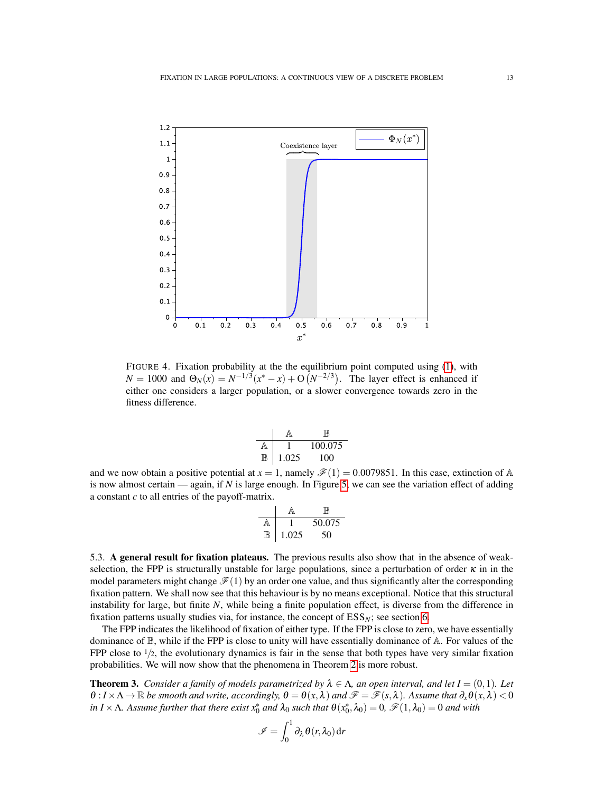<span id="page-12-0"></span>

FIGURE 4. Fixation probability at the the equilibrium point computed using [\(1\)](#page-4-1), with  $N = 1000$  and  $\Theta_N(x) = N^{-1/3}(x^* - x) + O(N^{-2/3})$ . The layer effect is enhanced if either one considers a larger population, or a slower convergence towards zero in the fitness difference.

| A |       | 100.075 |
|---|-------|---------|
|   | 1.025 | 100     |

and we now obtain a positive potential at  $x = 1$ , namely  $\mathcal{F}(1) = 0.0079851$ . In this case, extinction of A is now almost certain — again, if *N* is large enough. In Figure [5,](#page-13-0) we can see the variation effect of adding a constant *c* to all entries of the payoff-matrix.

$$
\begin{array}{c|cc}\n & \mathbb{A} & \mathbb{B} \\
\hline\n\mathbb{A} & 1 & 50.075 \\
\hline\n\mathbb{B} & 1.025 & 50\n\end{array}
$$

5.3. A general result for fixation plateaus. The previous results also show that in the absence of weakselection, the FPP is structurally unstable for large populations, since a perturbation of order  $\kappa$  in in the model parameters might change  $\mathscr{F}(1)$  by an order one value, and thus significantly alter the corresponding fixation pattern. We shall now see that this behaviour is by no means exceptional. Notice that this structural instability for large, but finite *N*, while being a finite population effect, is diverse from the difference in fixation patterns usually studies via, for instance, the concept of  $ESS_N$ ; see section [6.](#page-18-0)

The FPP indicates the likelihood of fixation of either type. If the FPP is close to zero, we have essentially dominance of  $\mathbb{B}$ , while if the FPP is close to unity will have essentially dominance of  $\mathbb{A}$ . For values of the FPP close to  $1/2$ , the evolutionary dynamics is fair in the sense that both types have very similar fixation probabilities. We will now show that the phenomena in Theorem [2](#page-10-0) is more robust.

<span id="page-12-1"></span>**Theorem 3.** *Consider a family of models parametrized by*  $\lambda \in \Lambda$ , *an open interval, and let*  $I = (0,1)$ *. Let*  $\theta$ :  $I \times \Lambda \to \mathbb{R}$  *be smooth and write, accordingly,*  $\theta = \theta(x, \lambda)$  *and*  $\mathscr{F} = \mathscr{F}(s, \lambda)$ *. Assume that*  $\partial_x \theta(x, \lambda) < 0$  $in I \times \Lambda$ . Assume further that there exist  $x_0^*$  and  $\lambda_0$  such that  $\theta(x_0^*, \lambda_0) = 0$ ,  $\mathscr{F}(1, \lambda_0) = 0$  and with

$$
\mathscr{I} = \int_0^1 \partial_\lambda \theta(r, \lambda_0) dr
$$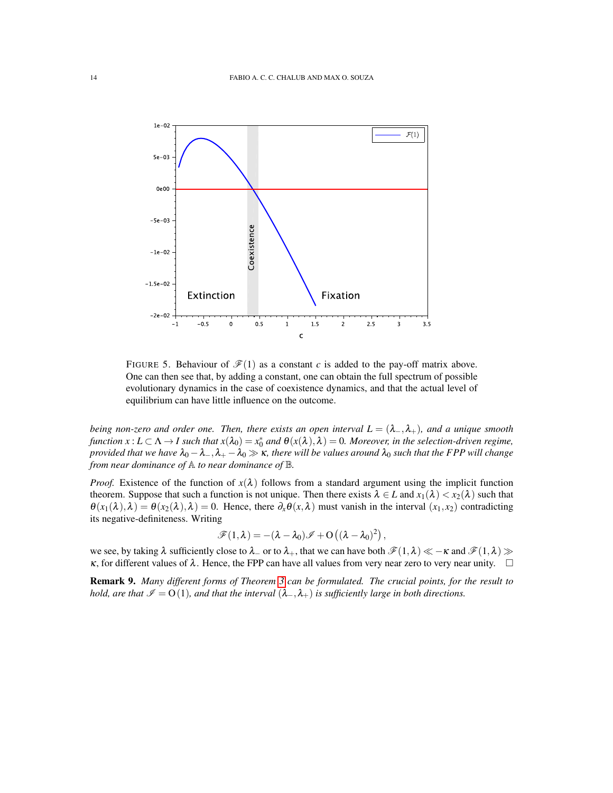<span id="page-13-0"></span>

FIGURE 5. Behaviour of  $\mathcal{F}(1)$  as a constant *c* is added to the pay-off matrix above. One can then see that, by adding a constant, one can obtain the full spectrum of possible evolutionary dynamics in the case of coexistence dynamics, and that the actual level of equilibrium can have little influence on the outcome.

*being non-zero and order one. Then, there exists an open interval*  $L = (\lambda_-, \lambda_+)$ *, and a unique smooth function*  $x: L \subset \Lambda \to I$  such that  $x(\lambda_0) = x_0^*$  and  $\theta(x(\lambda), \lambda) = 0$ . Moreover, in the selection-driven regime, *provided that we have*  $\lambda_0 - \lambda_-, \lambda_+ - \lambda_0 \gg \kappa$ , there will be values around  $\lambda_0$  such that the FPP will change *from near dominance of*  $\mathbb A$  *to near dominance of*  $\mathbb B$ *.* 

*Proof.* Existence of the function of  $x(\lambda)$  follows from a standard argument using the implicit function theorem. Suppose that such a function is not unique. Then there exists  $\lambda \in L$  and  $x_1(\lambda) < x_2(\lambda)$  such that  $\theta(x_1(\lambda),\lambda) = \theta(x_2(\lambda),\lambda) = 0$ . Hence, there  $\partial_x \theta(x,\lambda)$  must vanish in the interval  $(x_1,x_2)$  contradicting its negative-definiteness. Writing

$$
\mathscr{F}(1,\lambda) = -(\lambda - \lambda_0)\mathscr{I} + O((\lambda - \lambda_0)^2) ,
$$

we see, by taking  $\lambda$  sufficiently close to  $\lambda_+$  or to  $\lambda_+$ , that we can have both  $\mathscr{F}(1,\lambda) \ll -\kappa$  and  $\mathscr{F}(1,\lambda) \gg$  $\kappa$ , for different values of  $\lambda$ . Hence, the FPP can have all values from very near zero to very near unity.  $\square$ 

Remark 9. *Many different forms of Theorem [3](#page-12-1) can be formulated. The crucial points, for the result to hold, are that*  $\mathcal{I} = O(1)$ *, and that the interval*  $(\lambda_-, \lambda_+)$  *is sufficiently large in both directions.*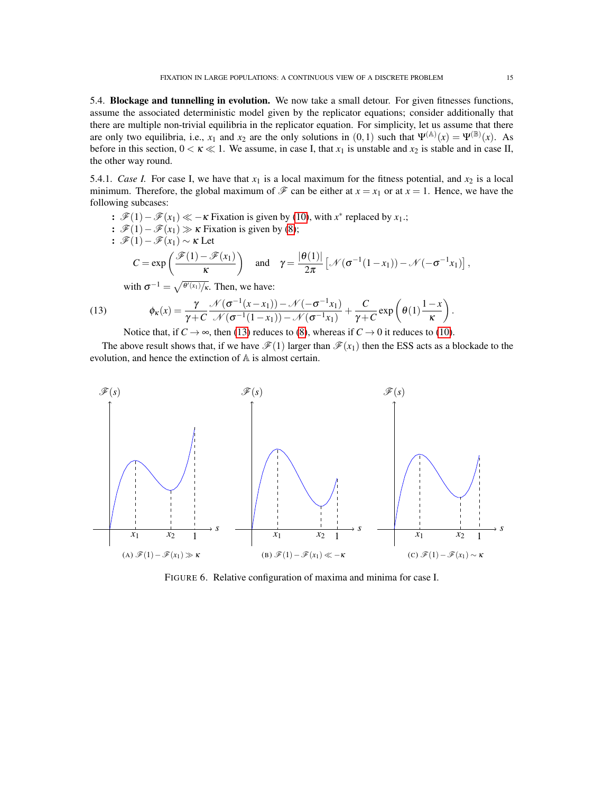5.4. Blockage and tunnelling in evolution. We now take a small detour. For given fitnesses functions, assume the associated deterministic model given by the replicator equations; consider additionally that there are multiple non-trivial equilibria in the replicator equation. For simplicity, let us assume that there are only two equilibria, i.e.,  $x_1$  and  $x_2$  are the only solutions in  $(0,1)$  such that  $\Psi^{(\mathbb{A})}(x) = \Psi^{(\mathbb{B})}(x)$ . As before in this section,  $0 < \kappa \ll 1$ . We assume, in case I, that  $x_1$  is unstable and  $x_2$  is stable and in case II, the other way round.

5.4.1. *Case I*. For case I, we have that  $x_1$  is a local maximum for the fitness potential, and  $x_2$  is a local minimum. Therefore, the global maximum of  $\mathscr F$  can be either at  $x = x_1$  or at  $x = 1$ . Hence, we have the following subcases:

$$
: \mathcal{F}(1) - \mathcal{F}(x_1) \ll -\kappa
$$
 Fixation is given by (10), with *x*<sup>\*</sup> replaced by *x*<sub>1</sub>.;  
\n
$$
: \mathcal{F}(1) - \mathcal{F}(x_1) \gg \kappa
$$
 Fixation is given by (8);  
\n
$$
: \mathcal{F}(1) - \mathcal{F}(x_1) \sim \kappa
$$
 Let  
\n
$$
C = \exp\left(\frac{\mathcal{F}(1) - \mathcal{F}(x_1)}{\kappa}\right) \text{ and } \gamma = \frac{|\theta(1)|}{2\pi} \left[ \mathcal{N}(\sigma^{-1}(1-x_1)) - \mathcal{N}(-\sigma^{-1}x_1) \right],
$$
  
\nwith  $\sigma^{-1} = \sqrt{\frac{\theta'(x_1)}{\kappa}}$ . Then, we have:

(13) 
$$
\phi_{\kappa}(x) = \frac{\gamma}{\gamma + C} \frac{\mathcal{N}(\sigma^{-1}(x - x_1)) - \mathcal{N}(-\sigma^{-1}x_1)}{\mathcal{N}(\sigma^{-1}(1 - x_1)) - \mathcal{N}(\sigma^{-1}x_1)} + \frac{C}{\gamma + C} \exp\left(\theta(1)\frac{1 - x}{\kappa}\right).
$$

<span id="page-14-0"></span>Notice that, if  $C \rightarrow \infty$ , then [\(13\)](#page-14-0) reduces to [\(8\)](#page-7-3), whereas if  $C \rightarrow 0$  it reduces to [\(10\)](#page-8-1).

The above result shows that, if we have  $\mathcal{F}(1)$  larger than  $\mathcal{F}(x_1)$  then the ESS acts as a blockade to the evolution, and hence the extinction of A is almost certain.



FIGURE 6. Relative configuration of maxima and minima for case I.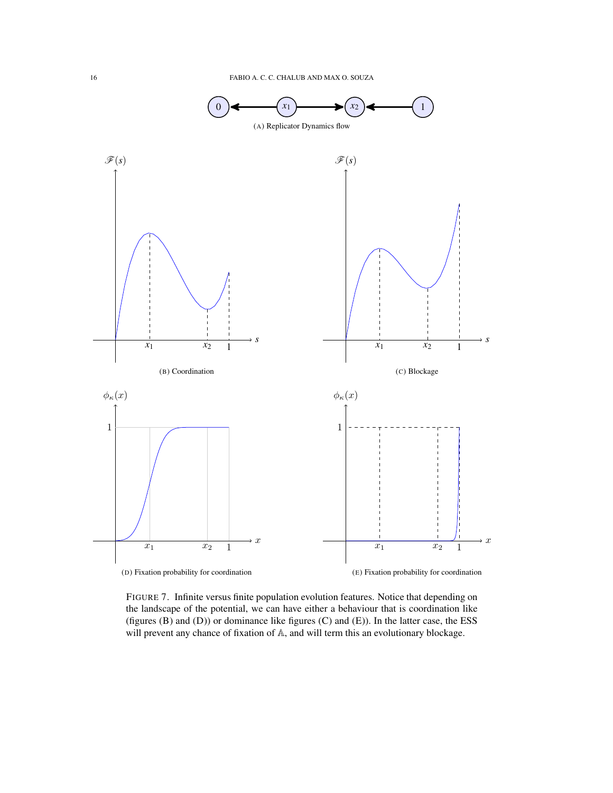

FIGURE 7. Infinite versus finite population evolution features. Notice that depending on the landscape of the potential, we can have either a behaviour that is coordination like (figures (B) and (D)) or dominance like figures (C) and (E)). In the latter case, the ESS will prevent any chance of fixation of A, and will term this an evolutionary blockage.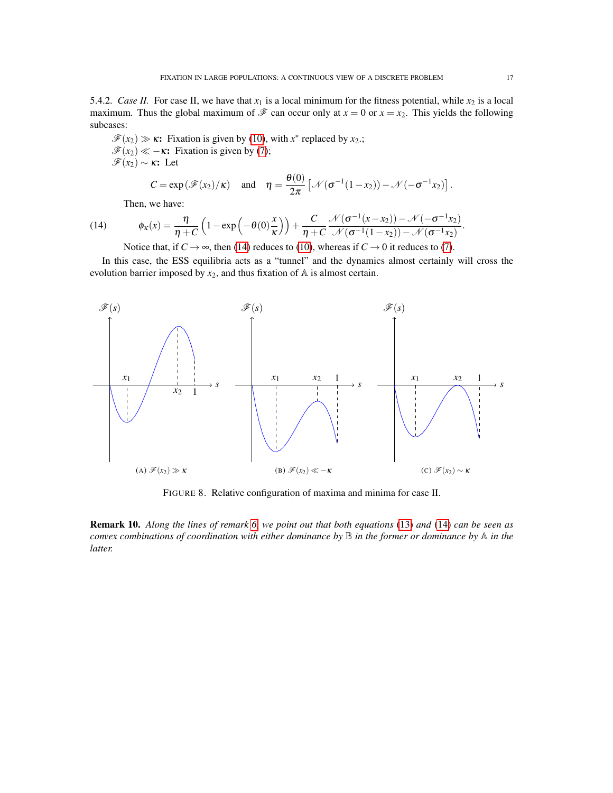5.4.2. *Case II.* For case II, we have that  $x_1$  is a local minimum for the fitness potential, while  $x_2$  is a local maximum. Thus the global maximum of  $\mathcal F$  can occur only at  $x = 0$  or  $x = x_2$ . This yields the following subcases:

 $\mathscr{F}(x_2) \gg \kappa$ : Fixation is given by [\(10\)](#page-8-1), with  $x^*$  replaced by  $x_2$ .;  $\mathscr{F}(x_2) \ll -\kappa$ : Fixation is given by [\(7\)](#page-7-2);  $\mathcal{F}(x_2)$  ∼ κ: Let  $\theta$ (0)

$$
C = \exp(\mathcal{F}(x_2)/\kappa) \quad \text{and} \quad \eta = \frac{\theta(0)}{2\pi} \left[ \mathcal{N}(\sigma^{-1}(1-x_2)) - \mathcal{N}(-\sigma^{-1}x_2) \right].
$$

<span id="page-16-0"></span>Then, we have:

(14) 
$$
\phi_{\kappa}(x) = \frac{\eta}{\eta + C} \left( 1 - \exp\left( -\theta(0) \frac{x}{\kappa} \right) \right) + \frac{C}{\eta + C} \frac{\mathcal{N}(\sigma^{-1}(x - x_2)) - \mathcal{N}(-\sigma^{-1}x_2)}{\mathcal{N}(\sigma^{-1}(1 - x_2)) - \mathcal{N}(\sigma^{-1}x_2)}.
$$

Notice that, if  $C \to \infty$ , then [\(14\)](#page-16-0) reduces to [\(10\)](#page-8-1), whereas if  $C \to 0$  it reduces to [\(7\)](#page-7-2).

In this case, the ESS equilibria acts as a "tunnel" and the dynamics almost certainly will cross the evolution barrier imposed by  $x_2$ , and thus fixation of  $A$  is almost certain.



FIGURE 8. Relative configuration of maxima and minima for case II.

Remark 10. *Along the lines of remark [6,](#page-8-2) we point out that both equations* [\(13\)](#page-14-0) *and* [\(14\)](#page-16-0) *can be seen as convex combinations of coordination with either dominance by* B *in the former or dominance by* A *in the latter.*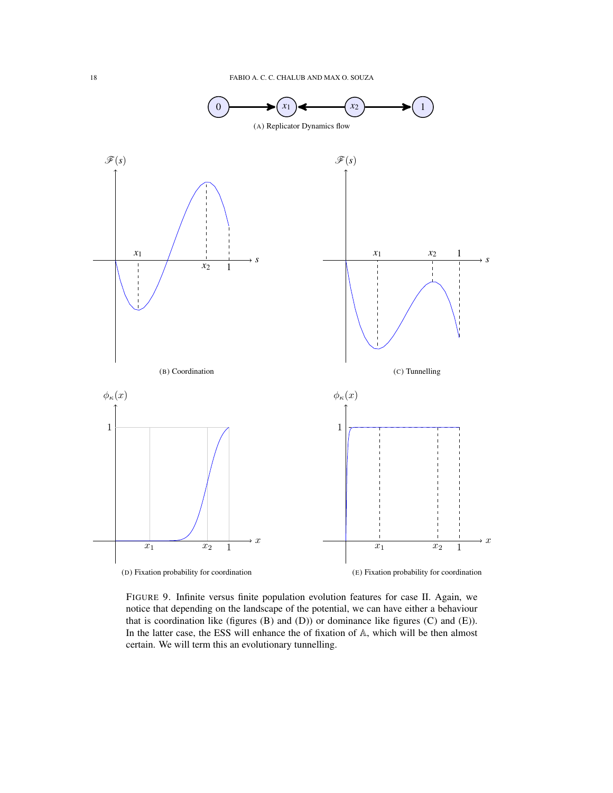

FIGURE 9. Infinite versus finite population evolution features for case II. Again, we notice that depending on the landscape of the potential, we can have either a behaviour that is coordination like (figures (B) and (D)) or dominance like figures (C) and (E)). In the latter case, the ESS will enhance the of fixation of A, which will be then almost certain. We will term this an evolutionary tunnelling.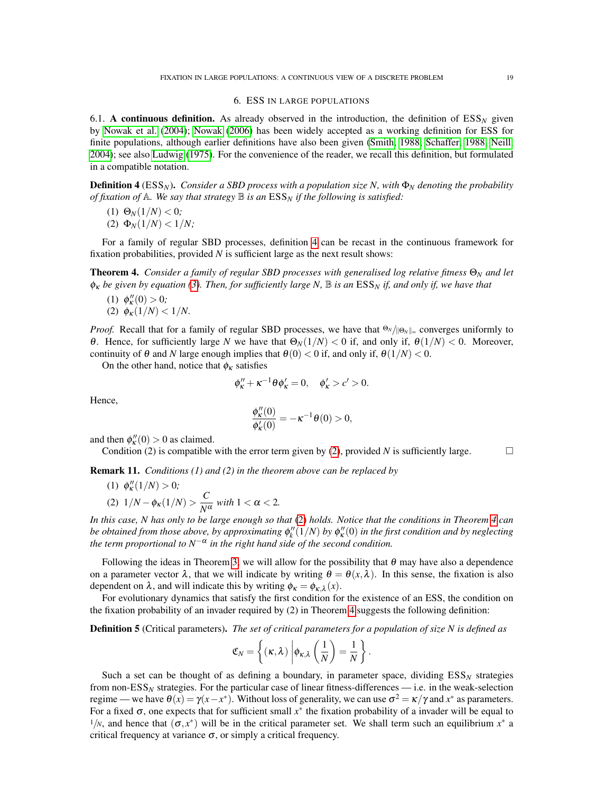#### 6. ESS IN LARGE POPULATIONS

<span id="page-18-0"></span>6.1. A continuous definition. As already observed in the introduction, the definition of  $ESS_N$  given by [Nowak et al.](#page-32-6) [\(2004\)](#page-32-6); [Nowak](#page-32-2) [\(2006\)](#page-32-2) has been widely accepted as a working definition for ESS for finite populations, although earlier definitions have also been given [\(Smith, 1988;](#page-32-18) [Schaffer, 1988;](#page-32-21) [Neill,](#page-32-22) [2004\)](#page-32-22); see also [Ludwig](#page-32-23) [\(1975\)](#page-32-23). For the convenience of the reader, we recall this definition, but formulated in a compatible notation.

<span id="page-18-1"></span>**Definition 4** ( $ESS_N$ ). *Consider a SBD process with a population size N, with*  $\Phi_N$  *denoting the probability of fixation of*  $A$ *. We say that strategy*  $B$  *is an*  $ESS_N$  *if the following is satisfied:* 

$$
(1) \ \Theta_N(1/N) < 0;
$$

(2) 
$$
\Phi_N(1/N) < 1/N
$$
;

For a family of regular SBD processes, definition [4](#page-18-1) can be recast in the continuous framework for fixation probabilities, provided *N* is sufficient large as the next result shows:

<span id="page-18-2"></span>Theorem 4. *Consider a family of regular SBD processes with generalised log relative fitness* Θ*<sup>N</sup> and let* φ<sup>κ</sup> *be given by equation [\(3\)](#page-5-1). Then, for sufficiently large N,* B *is an* ESS*<sup>N</sup> if, and only if, we have that*

- (1)  $\phi''_K(0) > 0;$
- (2)  $\phi_K(1/N) < 1/N$ .

*Proof.* Recall that for a family of regular SBD processes, we have that  $\Theta$ <sup>*N*</sup>/ $\parallel$ ⊚<sub>*N*</sub> $\parallel$ ∞</sub> converges uniformly to θ. Hence, for sufficiently large *N* we have that  $Θ_N(1/N) < 0$  if, and only if,  $θ(1/N) < 0$ . Moreover, continuity of  $\theta$  and N large enough implies that  $\theta(0) < 0$  if, and only if,  $\theta(1/N) < 0$ .

On the other hand, notice that  $\phi_K$  satisfies

$$
\phi_{\kappa}'' + \kappa^{-1} \theta \phi_{\kappa}' = 0, \quad \phi_{\kappa}' > c' > 0.
$$

Hence,

$$
\frac{\phi_\kappa''(0)}{\phi_\kappa'(0)}=-\kappa^{-1}\theta(0)>0,
$$

and then  $\phi''_{\kappa}(0) > 0$  as claimed.

Condition [\(2\)](#page-5-0) is compatible with the error term given by (2), provided *N* is sufficiently large.

Remark 11. *Conditions (1) and (2) in the theorem above can be replaced by*

(1) 
$$
\phi''_{\kappa}(1/N) > 0;
$$
  
(2)  $1/N - \phi_{\kappa}(1/N) > \frac{C}{N^{\alpha}}$  with  $1 < \alpha < 2$ .

*In this case, N has only to be large enough so that* [\(2\)](#page-5-0) *holds. Notice that the conditions in Theorem [4](#page-18-2) can be obtained from those above, by approximating*  $\phi''_k(1/N)$  *by*  $\phi''_k(0)$  *in the first condition and by neglecting the term proportional to*  $N^{-\alpha}$  *in the right hand side of the second condition.* 

Following the ideas in Theorem [3,](#page-12-1) we will allow for the possibility that  $\theta$  may have also a dependence on a parameter vector  $\lambda$ , that we will indicate by writing  $\theta = \theta(x, \lambda)$ . In this sense, the fixation is also dependent on  $\lambda$ , and will indicate this by writing  $\phi_{\kappa} = \phi_{\kappa,\lambda}(x)$ .

For evolutionary dynamics that satisfy the first condition for the existence of an ESS, the condition on the fixation probability of an invader required by (2) in Theorem [4](#page-18-2) suggests the following definition:

Definition 5 (Critical parameters). *The set of critical parameters for a population of size N is defined as*

$$
\mathfrak{C}_N = \left\{ (\kappa, \lambda) \middle| \phi_{\kappa, \lambda} \left( \frac{1}{N} \right) = \frac{1}{N} \right\}.
$$

Such a set can be thought of as defining a boundary, in parameter space, dividing  $ESS_N$  strategies from non- $ESS_N$  strategies. For the particular case of linear fitness-differences — i.e. in the weak-selection regime — we have  $\theta(x) = \gamma(x - x^*)$ . Without loss of generality, we can use  $\sigma^2 = \kappa/\gamma$  and  $x^*$  as parameters. For a fixed  $\sigma$ , one expects that for sufficient small  $x^*$  the fixation probability of a invader will be equal to  $1/N$ , and hence that  $(\sigma, x^*)$  will be in the critical parameter set. We shall term such an equilibrium  $x^*$  a critical frequency at variance  $\sigma$ , or simply a critical frequency.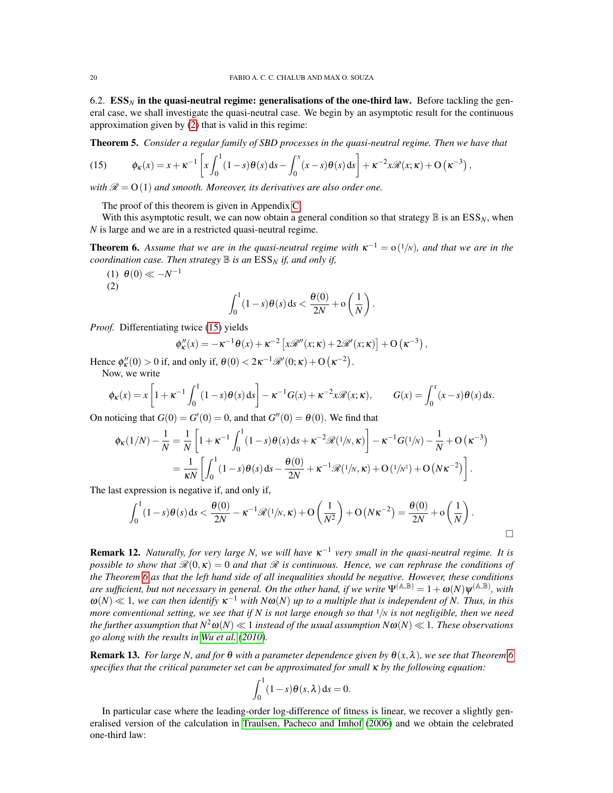6.2.  $\mathbf{ESS}_N$  in the quasi-neutral regime: generalisations of the one-third law. Before tackling the general case, we shall investigate the quasi-neutral case. We begin by an asymptotic result for the continuous approximation given by [\(2\)](#page-5-0) that is valid in this regime:

<span id="page-19-2"></span>Theorem 5. *Consider a regular family of SBD processes in the quasi-neutral regime. Then we have that*

<span id="page-19-0"></span>(15) 
$$
\phi_{\kappa}(x) = x + \kappa^{-1} \left[ x \int_0^1 (1-s) \theta(s) ds - \int_0^x (x-s) \theta(s) ds \right] + \kappa^{-2} x \mathcal{R}(x; \kappa) + O\left(\kappa^{-3}\right),
$$

*with*  $\mathcal{R} = O(1)$  *and smooth. Moreover, its derivatives are also order one.* 

The proof of this theorem is given in Appendix [C.](#page-30-0)

With this asymptotic result, we can now obtain a general condition so that strategy  $\mathbb B$  is an  $ESS_N$ , when *N* is large and we are in a restricted quasi-neutral regime.

<span id="page-19-1"></span>**Theorem 6.** Assume that we are in the quasi-neutral regime with  $\kappa^{-1} = o(1/N)$ , and that we are in the *coordination case. Then strategy*  $\mathbb B$  *is an*  $\text{ESS}_N$  *if, and only if,* 

(1)  $\theta(0) \ll -N^{-1}$ (2)

$$
\int_0^1 (1-s)\theta(s) ds < \frac{\theta(0)}{2N} + \mathcal{O}\left(\frac{1}{N}\right).
$$

*Proof.* Differentiating twice [\(15\)](#page-19-0) yields

$$
\phi''_{\kappa}(x) = -\kappa^{-1}\theta(x) + \kappa^{-2}\left[x\mathscr{R}''(x;\kappa) + 2\mathscr{R}'(x;\kappa)\right] + O\left(\kappa^{-3}\right),
$$

Hence  $\phi_{\kappa}''(0) > 0$  if, and only if,  $\theta(0) < 2\kappa^{-1}\mathcal{R}'(0;\kappa) + O(\kappa^{-2}).$ 

Now, we write

$$
\phi_{\kappa}(x) = x \left[ 1 + \kappa^{-1} \int_0^1 (1 - s) \theta(s) ds \right] - \kappa^{-1} G(x) + \kappa^{-2} x \mathcal{R}(x; \kappa), \qquad G(x) = \int_0^x (x - s) \theta(s) ds.
$$

On noticing that  $G(0) = G'(0) = 0$ , and that  $G''(0) = \theta(0)$ . We find that

$$
\phi_{\kappa}(1/N) - \frac{1}{N} = \frac{1}{N} \left[ 1 + \kappa^{-1} \int_0^1 (1 - s) \theta(s) ds + \kappa^{-2} \mathcal{R}(1/N, \kappa) \right] - \kappa^{-1} G(1/N) - \frac{1}{N} + O(\kappa^{-3})
$$

$$
= \frac{1}{\kappa N} \left[ \int_0^1 (1 - s) \theta(s) ds - \frac{\theta(0)}{2N} + \kappa^{-1} \mathcal{R}(1/N, \kappa) + O(1/N^2) + O(N\kappa^{-2}) \right].
$$

The last expression is negative if, and only if,

$$
\int_0^1 (1-s)\theta(s) ds < \frac{\theta(0)}{2N} - \kappa^{-1} \mathscr{R}(1/N, \kappa) + O\left(\frac{1}{N^2}\right) + O(N\kappa^{-2}) = \frac{\theta(0)}{2N} + o\left(\frac{1}{N}\right).
$$

**Remark 12.** *Naturally, for very large N, we will have* κ<sup>-1</sup> very small in the quasi-neutral regime. It is *possible to show that*  $\mathcal{R}(0,\kappa) = 0$  *and that*  $\mathcal{R}$  *is continuous. Hence, we can rephrase the conditions of the Theorem [6](#page-19-1) as that the left hand side of all inequalities should be negative. However, these conditions are sufficient, but not necessary in general. On the other hand, if we write*  $\Psi^{(A,B)} = 1 + \omega(N)\Psi^{(A,B)}$ , with  $\omega(N) \ll 1$ , we can then identify  $\kappa^{-1}$  with  $N\omega(N)$  up to a multiple that is independent of N. Thus, in this *more conventional setting, we see that if N is not large enough so that*  $\frac{1}{N}$  *is not negligible, then we need the further assumption that*  $N^2\omega(N) \ll 1$  *instead of the usual assumption*  $N\omega(N) \ll 1$ *. These observations go along with the results in [Wu et al.](#page-32-24) [\(2010\)](#page-32-24).*

**Remark 13.** *For large N, and for*  $\theta$  *with a parameter dependence given by*  $\theta(x, \lambda)$ *, we see that Theorem* [6](#page-19-1) *specifies that the critical parameter set can be approximated for small* κ *by the following equation:*

$$
\int_0^1 (1-s)\theta(s,\lambda) \, ds = 0.
$$

In particular case where the leading-order log-difference of fitness is linear, we recover a slightly generalised version of the calculation in [Traulsen, Pacheco and Imhof](#page-32-13) [\(2006\)](#page-32-13) and we obtain the celebrated one-third law: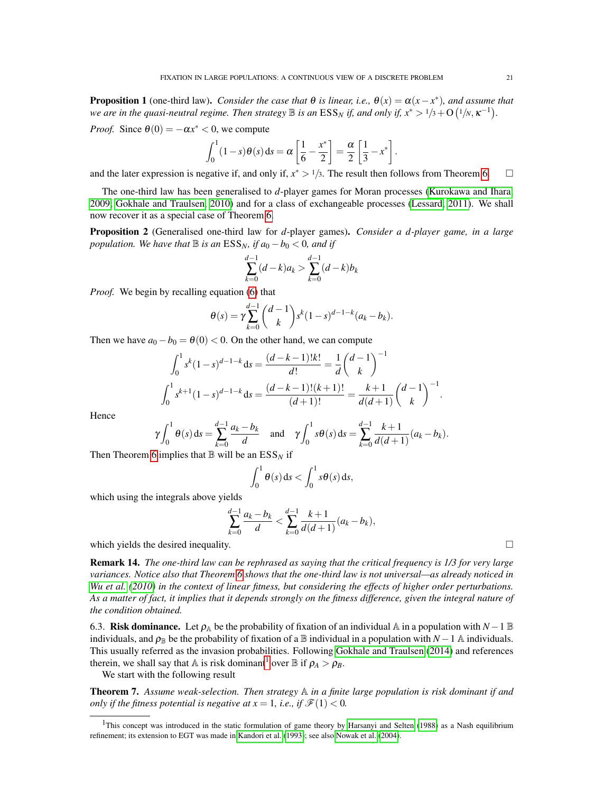**Proposition 1** (one-third law). *Consider the case that*  $\theta$  *is linear, i.e.,*  $\theta(x) = \alpha(x - x^*)$ *, and assume that* we are in the quasi-neutral regime. Then strategy  $\mathbb B$  is an  $\mathrm{ESS}_N$  if, and only if,  $x^*>1/3+\mathrm{O}(1/\mathrm{N},\kappa^{-1})$ .

*Proof.* Since  $\theta(0) = -\alpha x^* < 0$ , we compute

$$
\int_0^1 (1-s)\theta(s) ds = \alpha \left[\frac{1}{6} - \frac{x^*}{2}\right] = \frac{\alpha}{2} \left[\frac{1}{3} - x^*\right].
$$

and the later expression is negative if, and only if,  $x^* > 1/3$ . The result then follows from Theorem [6.](#page-19-1)  $\Box$ 

The one-third law has been generalised to *d*-player games for Moran processes [\(Kurokawa and Ihara,](#page-31-19) [2009;](#page-31-19) [Gokhale and Traulsen, 2010\)](#page-31-18) and for a class of exchangeable processes [\(Lessard, 2011\)](#page-32-15). We shall now recover it as a special case of Theorem [6.](#page-19-1)

<span id="page-20-2"></span>Proposition 2 (Generalised one-third law for *d*-player games). *Consider a d-player game, in a large population. We have that*  $\mathbb B$  *is an*  $\text{ESS}_N$ *, if*  $a_0 - b_0 < 0$ *, and if* 

$$
\sum_{k=0}^{d-1} (d-k)a_k > \sum_{k=0}^{d-1} (d-k)b_k
$$

*Proof.* We begin by recalling equation [\(6\)](#page-6-0) that

$$
\theta(s) = \gamma \sum_{k=0}^{d-1} {d-1 \choose k} s^k (1-s)^{d-1-k} (a_k - b_k).
$$

Then we have  $a_0 - b_0 = \theta(0) < 0$ . On the other hand, we can compute

$$
\int_0^1 s^k (1-s)^{d-1-k} ds = \frac{(d-k-1)!k!}{d!} = \frac{1}{d} \binom{d-1}{k}^{-1}
$$

$$
\int_0^1 s^{k+1} (1-s)^{d-1-k} ds = \frac{(d-k-1)!(k+1)!}{(d+1)!} = \frac{k+1}{d(d+1)} \binom{d-1}{k}^{-1}.
$$

Hence

$$
\gamma \int_0^1 \theta(s) \, ds = \sum_{k=0}^{d-1} \frac{a_k - b_k}{d} \quad \text{and} \quad \gamma \int_0^1 s \theta(s) \, ds = \sum_{k=0}^{d-1} \frac{k+1}{d(d+1)} (a_k - b_k).
$$

Then Theorem [6](#page-19-1) implies that  $\mathbb B$  will be an  $ESS_N$  if

$$
\int_0^1 \theta(s) \, \mathrm{d} s < \int_0^1 s \theta(s) \, \mathrm{d} s,
$$

which using the integrals above yields

$$
\sum_{k=0}^{d-1} \frac{a_k - b_k}{d} < \sum_{k=0}^{d-1} \frac{k+1}{d(d+1)} (a_k - b_k),
$$

which yields the desired inequality.  $\Box$ 

<span id="page-20-3"></span>Remark 14. *The one-third law can be rephrased as saying that the critical frequency is 1/3 for very large variances. Notice also that Theorem [6](#page-19-1) shows that the one-third law is not universal—as already noticed in [Wu et al.](#page-32-24) [\(2010\)](#page-32-24) in the context of linear fitness, but considering the effects of higher order perturbations. As a matter of fact, it implies that it depends strongly on the fitness difference, given the integral nature of the condition obtained.*

6.3. Risk dominance. Let  $\rho_{\mathbb{A}}$  be the probability of fixation of an individual  $\mathbb{A}$  in a population with  $N-1 \mathbb{B}$ individuals, and  $\rho_{\mathbb{B}}$  be the probability of fixation of a  $\mathbb{B}$  individual in a population with *N* − 1  $\mathbb{A}$  individuals. This usually referred as the invasion probabilities. Following [Gokhale and Traulsen](#page-31-21) [\(2014\)](#page-31-21) and references therein, we shall say that A is risk dominant<sup>[1](#page-20-1)</sup> over  $\mathbb B$  if  $\rho_A > \rho_B$ .

We start with the following result

<span id="page-20-0"></span>Theorem 7. *Assume weak-selection. Then strategy* A *in a finite large population is risk dominant if and only if the fitness potential is negative at*  $x = 1$ *, i.e., if*  $\mathcal{F}(1) < 0$ *.* 

<span id="page-20-1"></span><sup>&</sup>lt;sup>1</sup>This concept was introduced in the static formulation of game theory by [Harsanyi and Selten](#page-31-22) [\(1988\)](#page-31-22) as a Nash equilibrium refinement; its extension to EGT was made in [Kandori et al.](#page-31-23) [\(1993\)](#page-31-23); see also [Nowak et al.](#page-32-6) [\(2004\)](#page-32-6).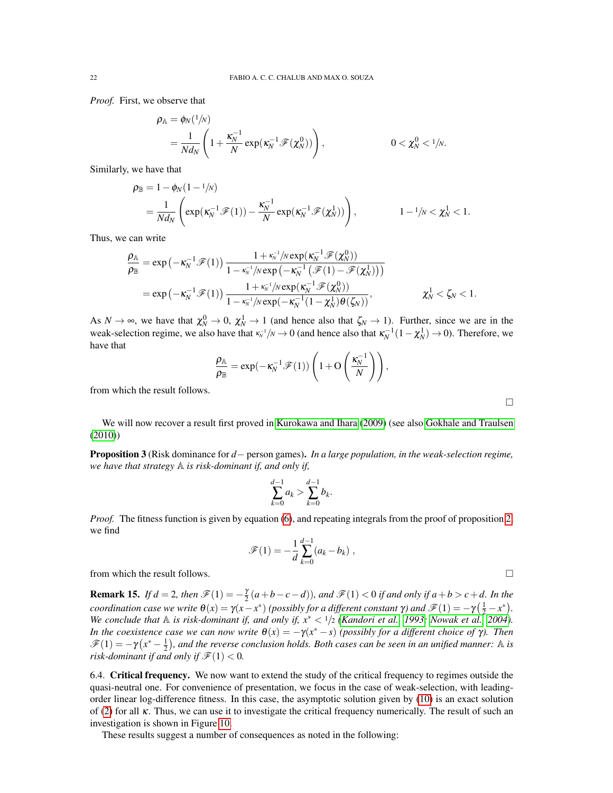*Proof.* First, we observe that

$$
\rho_{\mathbb{A}} = \phi_N(1/N)
$$
  
=  $\frac{1}{Nd_N} \left( 1 + \frac{\kappa_N^{-1}}{N} \exp(\kappa_N^{-1} \mathscr{F}(\chi_N^0)) \right),$  0 < \chi\_N^0 < 1/N.

Similarly, we have that

$$
\rho_{\mathbb{B}} = 1 - \phi_N(1 - \frac{1}{N})
$$
\n
$$
= \frac{1}{Nd_N} \left( \exp(\kappa_N^{-1} \mathcal{F}(1)) - \frac{\kappa_N^{-1}}{N} \exp(\kappa_N^{-1} \mathcal{F}(\chi_N^1)) \right), \qquad 1 - \frac{1}{N} < \chi_N^1 < 1.
$$

Thus, we can write

$$
\begin{aligned} \frac{\rho_{\mathbb{A}}}{\rho_{\mathbb{B}}}=&\exp\left(-\kappa_N^{-1}\mathscr{F}(1)\right)\frac{1+\kappa_N^{-1}/N\exp(\kappa_N^{-1}\mathscr{F}(\chi_N^0))}{1-\kappa_N^{-1}/N\exp\left(-\kappa_N^{-1}\left(\mathscr{F}(1)-\mathscr{F}(\chi_N^1)\right)\right)}\\ =&\exp\left(-\kappa_N^{-1}\mathscr{F}(1)\right)\frac{1+\kappa_N^{-1}/N\exp(\kappa_N^{-1}\mathscr{F}(\chi_N^0))}{1-\kappa_N^{-1}/N\exp(-\kappa_N^{-1}(1-\chi_N^1)\theta(\zeta_N))},\qquad \qquad \chi_N^1<\zeta_N<1. \end{aligned}
$$

As  $N \to \infty$ , we have that  $\chi_N^0 \to 0$ ,  $\chi_N^1 \to 1$  (and hence also that  $\zeta_N \to 1$ ). Further, since we are in the weak-selection regime, we also have that  $\kappa_N^{-1}/N \to 0$  (and hence also that  $\kappa_N^{-1}(1-\chi_N^1) \to 0$ ). Therefore, we have that

$$
\frac{\rho_{\mathbb{A}}}{\rho_{\mathbb{B}}} = \exp(-\kappa_N^{-1}\mathscr{F}(1))\left(1 + \mathcal{O}\left(\frac{\kappa_N^{-1}}{N}\right)\right),\,
$$

from which the result follows.

We will now recover a result first proved in [Kurokawa and Ihara](#page-31-19) [\(2009\)](#page-31-19) (see also [Gokhale and Traulsen](#page-31-18) [\(2010\)](#page-31-18))

Proposition 3 (Risk dominance for *d*− person games). *In a large population, in the weak-selection regime, we have that strategy* A *is risk-dominant if, and only if,*

$$
\sum_{k=0}^{d-1} a_k > \sum_{k=0}^{d-1} b_k.
$$

*Proof.* The fitness function is given by equation [\(6\)](#page-6-0), and repeating integrals from the proof of proposition [2,](#page-20-2) we find

$$
\mathscr{F}(1) = -\frac{1}{d} \sum_{k=0}^{d-1} (a_k - b_k) ,
$$

from which the result follows.

**Remark 15.** *If d* = 2*, then*  $\mathscr{F}(1) = -\frac{\gamma}{2}(a+b-c-d)$ *), and*  $\mathscr{F}(1) < 0$  *if and only if a*+*b* > *c*+*d. In the coordination case we write*  $\theta(x) = \gamma(x - x^*)$  *(possibly for a different constant*  $\gamma$ *) and*  $\mathscr{F}(1) = -\gamma(\frac{1}{2} - x^*)$ *. We conclude that*  $\mathbb A$  *is risk-dominant if, and only if,*  $x^* < 1/2$  *[\(Kandori et al., 1993;](#page-31-23) [Nowak et al., 2004\)](#page-32-6). In the coexistence case we can now write*  $\theta(x) = -\gamma(x^* - s)$  *(possibly for a different choice of*  $\gamma$ *). Then*  $\mathscr{F}(1) = -\gamma(x^* - \frac{1}{2})$ , and the reverse conclusion holds. Both cases can be seen in an unified manner: A is *risk-dominant if and only if*  $\mathcal{F}(1) < 0$ *.* 

6.4. Critical frequency. We now want to extend the study of the critical frequency to regimes outside the quasi-neutral one. For convenience of presentation, we focus in the case of weak-selection, with leadingorder linear log-difference fitness. In this case, the asymptotic solution given by [\(10\)](#page-8-1) is an exact solution of [\(2\)](#page-5-0) for all  $\kappa$ . Thus, we can use it to investigate the critical frequency numerically. The result of such an investigation is shown in Figure [10.](#page-22-1)

These results suggest a number of consequences as noted in the following:

 $\Box$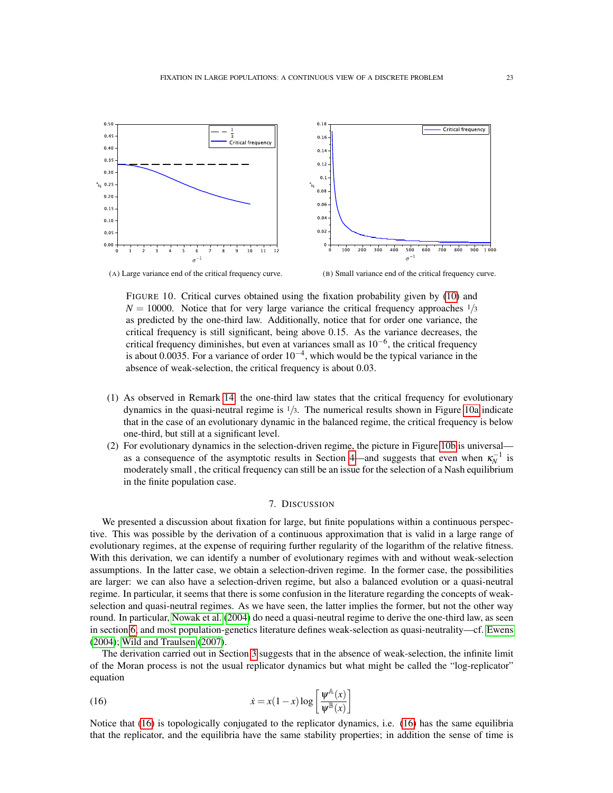<span id="page-22-2"></span><span id="page-22-1"></span>

(A) Large variance end of the critical frequency curve. (B) Small variance end of the critical frequency curve.

<span id="page-22-3"></span>FIGURE 10. Critical curves obtained using the fixation probability given by [\(10\)](#page-8-1) and  $N = 10000$ . Notice that for very large variance the critical frequency approaches  $\frac{1}{3}$ as predicted by the one-third law. Additionally, notice that for order one variance, the critical frequency is still significant, being above 0.15. As the variance decreases, the critical frequency diminishes, but even at variances small as 10−<sup>6</sup> , the critical frequency is about 0.0035. For a variance of order  $10^{-4}$ , which would be the typical variance in the absence of weak-selection, the critical frequency is about 0.03.

- (1) As observed in Remark [14,](#page-20-3) the one-third law states that the critical frequency for evolutionary dynamics in the quasi-neutral regime is  $\frac{1}{3}$ . The numerical results shown in Figure [10a](#page-22-2) indicate that in the case of an evolutionary dynamic in the balanced regime, the critical frequency is below one-third, but still at a significant level.
- (2) For evolutionary dynamics in the selection-driven regime, the picture in Figure [10b](#page-22-3) is universal— as a consequence of the asymptotic results in Section [4—](#page-7-0)and suggests that even when  $\kappa_N^{-1}$  is moderately small , the critical frequency can still be an issue for the selection of a Nash equilibrium in the finite population case.

#### 7. DISCUSSION

<span id="page-22-0"></span>We presented a discussion about fixation for large, but finite populations within a continuous perspective. This was possible by the derivation of a continuous approximation that is valid in a large range of evolutionary regimes, at the expense of requiring further regularity of the logarithm of the relative fitness. With this derivation, we can identify a number of evolutionary regimes with and without weak-selection assumptions. In the latter case, we obtain a selection-driven regime. In the former case, the possibilities are larger: we can also have a selection-driven regime, but also a balanced evolution or a quasi-neutral regime. In particular, it seems that there is some confusion in the literature regarding the concepts of weakselection and quasi-neutral regimes. As we have seen, the latter implies the former, but not the other way round. In particular, [Nowak et al.](#page-32-6) [\(2004\)](#page-32-6) do need a quasi-neutral regime to derive the one-third law, as seen in section [6,](#page-18-0) and most population-genetics literature defines weak-selection as quasi-neutrality—cf. [Ewens](#page-31-2) [\(2004\)](#page-31-2); [Wild and Traulsen](#page-32-25) [\(2007\)](#page-32-25).

The derivation carried out in Section [3](#page-4-0) suggests that in the absence of weak-selection, the infinite limit of the Moran process is not the usual replicator dynamics but what might be called the "log-replicator" equation

<span id="page-22-4"></span>(16) 
$$
\dot{x} = x(1-x)\log\left[\frac{\psi^{\mathbb{A}}(x)}{\psi^{\mathbb{B}}(x)}\right]
$$

Notice that [\(16\)](#page-22-4) is topologically conjugated to the replicator dynamics, i.e. [\(16\)](#page-22-4) has the same equilibria that the replicator, and the equilibria have the same stability properties; in addition the sense of time is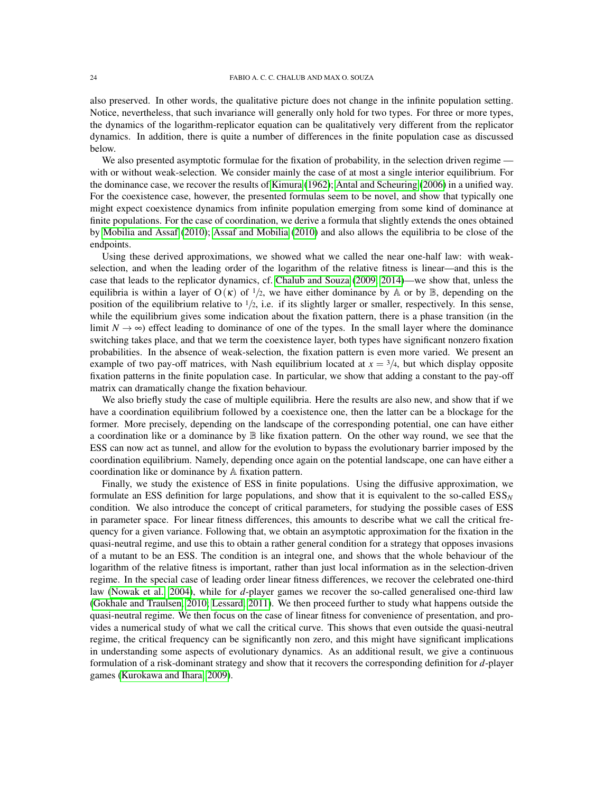also preserved. In other words, the qualitative picture does not change in the infinite population setting. Notice, nevertheless, that such invariance will generally only hold for two types. For three or more types, the dynamics of the logarithm-replicator equation can be qualitatively very different from the replicator dynamics. In addition, there is quite a number of differences in the finite population case as discussed below.

We also presented asymptotic formulae for the fixation of probability, in the selection driven regime with or without weak-selection. We consider mainly the case of at most a single interior equilibrium. For the dominance case, we recover the results of [Kimura](#page-31-1) [\(1962\)](#page-31-1); [Antal and Scheuring](#page-31-14) [\(2006\)](#page-31-14) in a unified way. For the coexistence case, however, the presented formulas seem to be novel, and show that typically one might expect coexistence dynamics from infinite population emerging from some kind of dominance at finite populations. For the case of coordination, we derive a formula that slightly extends the ones obtained by [Mobilia and Assaf](#page-32-14) [\(2010\)](#page-32-14); [Assaf and Mobilia](#page-31-16) [\(2010\)](#page-31-16) and also allows the equilibria to be close of the endpoints.

Using these derived approximations, we showed what we called the near one-half law: with weakselection, and when the leading order of the logarithm of the relative fitness is linear—and this is the case that leads to the replicator dynamics, cf. [Chalub and Souza](#page-31-7) [\(2009,](#page-31-7) [2014\)](#page-31-8)—we show that, unless the equilibria is within a layer of  $O(\kappa)$  of  $\frac{1}{2}$ , we have either dominance by A or by B, depending on the position of the equilibrium relative to  $1/2$ , i.e. if its slightly larger or smaller, respectively. In this sense, while the equilibrium gives some indication about the fixation pattern, there is a phase transition (in the limit  $N \to \infty$ ) effect leading to dominance of one of the types. In the small layer where the dominance switching takes place, and that we term the coexistence layer, both types have significant nonzero fixation probabilities. In the absence of weak-selection, the fixation pattern is even more varied. We present an example of two pay-off matrices, with Nash equilibrium located at  $x = \frac{3}{4}$ , but which display opposite fixation patterns in the finite population case. In particular, we show that adding a constant to the pay-off matrix can dramatically change the fixation behaviour.

We also briefly study the case of multiple equilibria. Here the results are also new, and show that if we have a coordination equilibrium followed by a coexistence one, then the latter can be a blockage for the former. More precisely, depending on the landscape of the corresponding potential, one can have either a coordination like or a dominance by B like fixation pattern. On the other way round, we see that the ESS can now act as tunnel, and allow for the evolution to bypass the evolutionary barrier imposed by the coordination equilibrium. Namely, depending once again on the potential landscape, one can have either a coordination like or dominance by A fixation pattern.

Finally, we study the existence of ESS in finite populations. Using the diffusive approximation, we formulate an ESS definition for large populations, and show that it is equivalent to the so-called ESS*<sup>N</sup>* condition. We also introduce the concept of critical parameters, for studying the possible cases of ESS in parameter space. For linear fitness differences, this amounts to describe what we call the critical frequency for a given variance. Following that, we obtain an asymptotic approximation for the fixation in the quasi-neutral regime, and use this to obtain a rather general condition for a strategy that opposes invasions of a mutant to be an ESS. The condition is an integral one, and shows that the whole behaviour of the logarithm of the relative fitness is important, rather than just local information as in the selection-driven regime. In the special case of leading order linear fitness differences, we recover the celebrated one-third law [\(Nowak et al., 2004\)](#page-32-6), while for *d*-player games we recover the so-called generalised one-third law [\(Gokhale and Traulsen, 2010;](#page-31-18) [Lessard, 2011\)](#page-32-15). We then proceed further to study what happens outside the quasi-neutral regime. We then focus on the case of linear fitness for convenience of presentation, and provides a numerical study of what we call the critical curve. This shows that even outside the quasi-neutral regime, the critical frequency can be significantly non zero, and this might have significant implications in understanding some aspects of evolutionary dynamics. As an additional result, we give a continuous formulation of a risk-dominant strategy and show that it recovers the corresponding definition for *d*-player games [\(Kurokawa and Ihara, 2009\)](#page-31-19).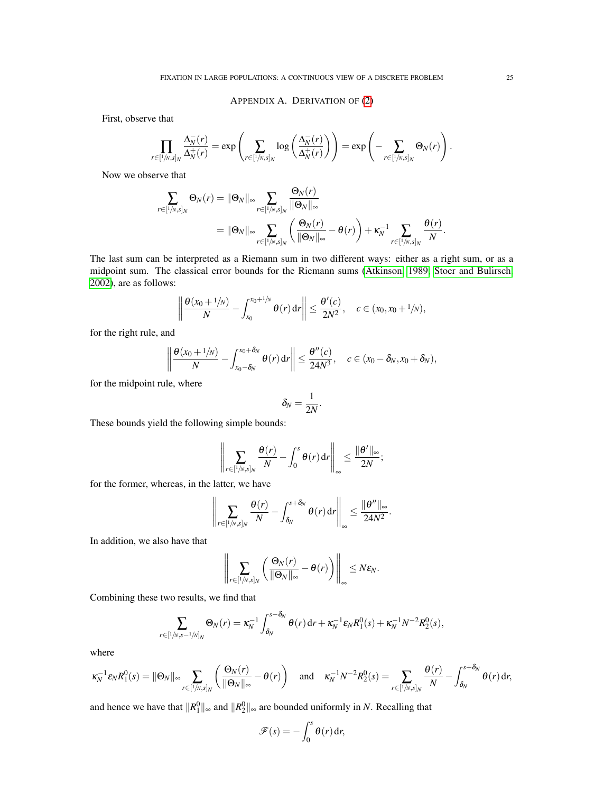APPENDIX A. DERIVATION OF [\(2\)](#page-5-0)

<span id="page-24-0"></span>First, observe that

$$
\prod_{r\in[1/N,s]_N}\frac{\Delta_N^-(r)}{\Delta_N^+(r)}=\exp\left(\sum_{r\in[1/N,s]_N}\log\left(\frac{\Delta_N^-(r)}{\Delta_N^+(r)}\right)\right)=\exp\left(-\sum_{r\in[1/N,s]_N}\Theta_N(r)\right).
$$

Now we observe that

$$
\sum_{r \in [1/n,s]_N} \Theta_N(r) = \|\Theta_N\|_{\infty} \sum_{r \in [1/n,s]_N} \frac{\Theta_N(r)}{\|\Theta_N\|_{\infty}} \n= \|\Theta_N\|_{\infty} \sum_{r \in [1/n,s]_N} \left(\frac{\Theta_N(r)}{\|\Theta_N\|_{\infty}} - \theta(r)\right) + \kappa_N^{-1} \sum_{r \in [1/n,s]_N} \frac{\theta(r)}{N}.
$$

The last sum can be interpreted as a Riemann sum in two different ways: either as a right sum, or as a midpoint sum. The classical error bounds for the Riemann sums [\(Atkinson, 1989;](#page-31-24) [Stoer and Bulirsch,](#page-32-26) [2002\)](#page-32-26), are as follows:

$$
\left\|\frac{\theta(x_0+1/N)}{N}-\int_{x_0}^{x_0+1/N}\theta(r)\,dr\right\|\leq \frac{\theta'(c)}{2N^2},\quad c\in (x_0,x_0+1/N),
$$

for the right rule, and

$$
\left\|\frac{\theta(x_0+1/N)}{N}-\int_{x_0-\delta_N}^{x_0+\delta_N}\theta(r)\,dr\right\|\leq \frac{\theta''(c)}{24N^3},\quad c\in(x_0-\delta_N,x_0+\delta_N),
$$

for the midpoint rule, where

$$
\delta_N=\frac{1}{2N}.
$$

These bounds yield the following simple bounds:

$$
\left\|\sum_{r\in [1/N,s]_N}\frac{\theta(r)}{N}-\int_0^s\theta(r)\,\mathrm{d} r\right\|_\infty\leq \frac{\|\theta'\|_\infty}{2N};
$$

for the former, whereas, in the latter, we have

$$
\left\|\sum_{r\in[1/\mathsf{N},\mathsf{S}]_N}\frac{\theta(r)}{N}-\int_{\delta_N}^{s+\delta_N}\theta(r)\,\mathrm{d} r\right\|_\infty\leq\frac{\|\theta''\|_\infty}{24N^2}.
$$

In addition, we also have that

$$
\left\|\sum_{r\in [1/N,s]_N}\left(\frac{\Theta_N(r)}{\|\Theta_N\|_{\infty}}-\theta(r)\right)\right\|_{\infty}\leq N\epsilon_N.
$$

Combining these two results, we find that

$$
\sum_{r\in [1/N,s-1/N]_N}\Theta_N(r)=\kappa_N^{-1}\int_{\delta_N}^{s-\delta_N}\theta(r)\,\mathrm{d} r+\kappa_N^{-1}\varepsilon_N R_1^0(s)+\kappa_N^{-1}N^{-2}R_2^0(s),
$$

where

$$
\kappa_N^{-1}\varepsilon_N R_1^0(s) = \|\Theta_N\|_{\infty} \sum_{r \in [1/\mathcal{N},s]_N} \left(\frac{\Theta_N(r)}{\|\Theta_N\|_{\infty}} - \theta(r)\right) \quad \text{and} \quad \kappa_N^{-1}N^{-2}R_2^0(s) = \sum_{r \in [1/\mathcal{N},s]_N} \frac{\theta(r)}{N} - \int_{\delta_N}^{s+\delta_N} \theta(r) \,dr,
$$

and hence we have that  $||R_1^0||_{\infty}$  and  $||R_2^0||_{\infty}$  are bounded uniformly in *N*. Recalling that

$$
\mathscr{F}(s) = -\int_0^s \theta(r) \, \mathrm{d}r,
$$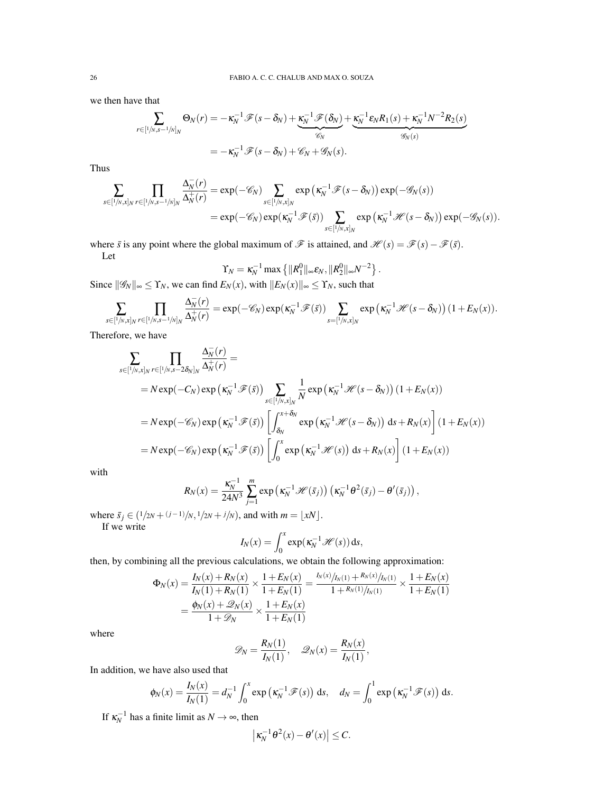we then have that

$$
\sum_{r \in [1/N, s-1/N]_N} \Theta_N(r) = -\kappa_N^{-1} \mathscr{F}(s-\delta_N) + \underbrace{\kappa_N^{-1} \mathscr{F}(\delta_N)}_{\mathscr{C}_N} + \underbrace{\kappa_N^{-1} \epsilon_N R_1(s) + \kappa_N^{-1} N^{-2} R_2(s)}_{\mathscr{G}_N(s)}
$$
  
= 
$$
-\kappa_N^{-1} \mathscr{F}(s-\delta_N) + \mathscr{C}_N + \mathscr{G}_N(s).
$$

Thus

$$
\sum_{s\in [1/n,x]_N}\prod_{r\in [1/n,s-1/n]_N}\frac{\Delta_N^-(r)}{\Delta_N^+(r)}=\exp(-\mathscr{C}_N)\sum_{s\in [1/n,x]_N}\exp\left(\kappa_N^{-1}\mathscr{F}(s-\delta_N)\right)\exp(-\mathscr{G}_N(s))\\=\exp(-\mathscr{C}_N)\exp(\kappa_N^{-1}\mathscr{F}(\bar{s}))\sum_{s\in [1/n,x]_N}\exp\left(\kappa_N^{-1}\mathscr{H}(s-\delta_N)\right)\exp(-\mathscr{G}_N(s)).
$$

where  $\bar{s}$  is any point where the global maximum of  $\mathscr F$  is attained, and  $\mathscr H(s) = \mathscr F(s) - \mathscr F(\bar{s})$ . Let

$$
\Upsilon_N = \kappa_N^{-1} \max \left\{ ||R_1^0||_{\infty} \varepsilon_N, ||R_2^0||_{\infty} N^{-2} \right\}
$$

.

Since  $||\mathscr{G}_N||_{\infty} \leq \Upsilon_N$ , we can find  $E_N(x)$ , with  $||E_N(x)||_{\infty} \leq \Upsilon_N$ , such that

$$
\sum_{s\in [1/n,x]_N}\prod_{r\in [1/n,s-1/n]_N}\frac{\Delta_N^-(r)}{\Delta_N^+(r)}=\exp(-\mathscr{C}_N)\exp(\kappa_N^{-1}\mathscr{F}(\bar{s}))\sum_{s=[1/n,x]_N}\exp\left(\kappa_N^{-1}\mathscr{H}(s-\delta_N)\right)(1+E_N(x)).
$$

Therefore, we have

$$
\sum_{s \in [1/n,x]_N} \prod_{r \in [1/n,s-2\delta_N]_N} \frac{\Delta_N^-(r)}{\Delta_N^+(r)} =
$$
\n
$$
= N \exp(-C_N) \exp(\kappa_N^{-1} \mathcal{F}(s)) \sum_{s \in [1/n,x]_N} \frac{1}{N} \exp(\kappa_N^{-1} \mathcal{H}(s-\delta_N)) (1 + E_N(x))
$$
\n
$$
= N \exp(-\mathcal{C}_N) \exp(\kappa_N^{-1} \mathcal{F}(s)) \left[ \int_{\delta_N}^{x+\delta_N} \exp(\kappa_N^{-1} \mathcal{H}(s-\delta_N)) ds + R_N(x) \right] (1 + E_N(x))
$$
\n
$$
= N \exp(-\mathcal{C}_N) \exp(\kappa_N^{-1} \mathcal{F}(s)) \left[ \int_0^x \exp(\kappa_N^{-1} \mathcal{H}(s)) ds + R_N(x) \right] (1 + E_N(x))
$$

with

$$
R_N(x) = \frac{\kappa_N^{-1}}{24N^3} \sum_{j=1}^m \exp\left(\kappa_N^{-1} \mathcal{H}(\bar{s}_j)\right) \left(\kappa_N^{-1} \theta^2(\bar{s}_j) - \theta'(\bar{s}_j)\right),
$$

where  $\bar{s}_j \in (1/2N + (j-1)/N, 1/2N + j/N)$ , and with  $m = \lfloor xN \rfloor$ .

If we write

$$
I_N(x) = \int_0^x \exp(\kappa_N^{-1} \mathcal{H}(s)) ds,
$$

then, by combining all the previous calculations, we obtain the following approximation:

$$
\Phi_N(x) = \frac{I_N(x) + R_N(x)}{I_N(1) + R_N(1)} \times \frac{1 + E_N(x)}{1 + E_N(1)} = \frac{I_N(x) / I_N(1) + R_N(x) / I_N(1)}{1 + R_N(1) / I_N(1)} \times \frac{1 + E_N(x)}{1 + E_N(1)}
$$
\n
$$
= \frac{\phi_N(x) + \mathcal{Q}_N(x)}{1 + \mathcal{Q}_N} \times \frac{1 + E_N(x)}{1 + E_N(1)}
$$

where

$$
\mathscr{D}_N = \frac{R_N(1)}{I_N(1)}, \quad \mathscr{D}_N(x) = \frac{R_N(x)}{I_N(1)},
$$

In addition, we have also used that

$$
\phi_N(x) = \frac{I_N(x)}{I_N(1)} = d_N^{-1} \int_0^x \exp\left(\kappa_N^{-1} \mathcal{F}(s)\right) ds, \quad d_N = \int_0^1 \exp\left(\kappa_N^{-1} \mathcal{F}(s)\right) ds.
$$

If  $\kappa_N^{-1}$  has a finite limit as  $N \to \infty$ , then

$$
\left|\kappa_N^{-1}\theta^2(x)-\theta'(x)\right|\leq C.
$$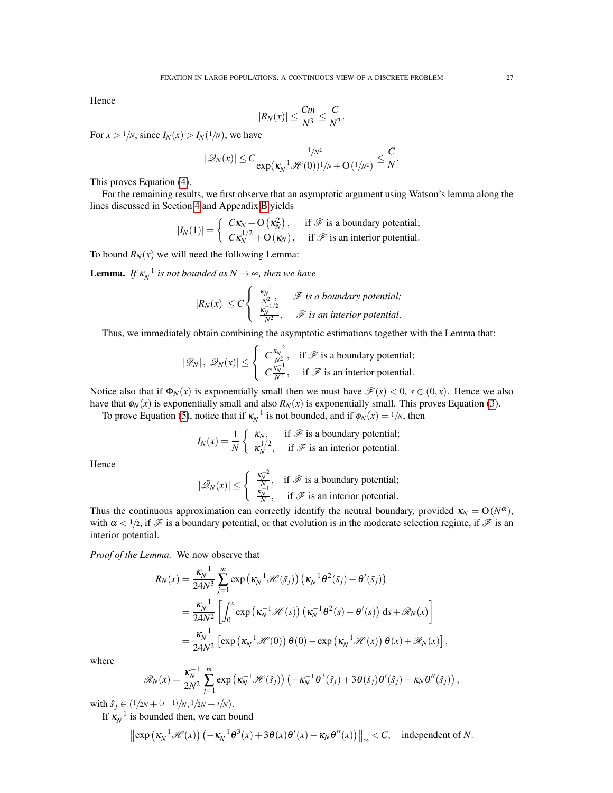Hence

$$
|R_N(x)| \leq \frac{Cm}{N^3} \leq \frac{C}{N^2}.
$$

For  $x > 1/N$ , since  $I_N(x) > I_N(1/N)$ , we have

$$
|\mathcal{Q}_N(x)| \leq C \frac{1/N^2}{\exp(\kappa_N^{-1}\mathcal{H}(0))^{1}/N + O(1/N^2)} \leq \frac{C}{N}.
$$

This proves Equation [\(4\)](#page-5-2).

For the remaining results, we first observe that an asymptotic argument using Watson's lemma along the lines discussed in Section [4](#page-7-0) and Appendix [B](#page-28-0) yields

$$
|I_N(1)| = \begin{cases} C\kappa_N + O(\kappa_N^2), & \text{if } \mathcal{F} \text{ is a boundary potential;} \\ C\kappa_N^{1/2} + O(\kappa_N), & \text{if } \mathcal{F} \text{ is an interior potential.} \end{cases}
$$

To bound  $R_N(x)$  we will need the following Lemma:

**Lemma.** If  $\kappa_N^{-1}$  is not bounded as  $N \to \infty$ , then we have

$$
|R_N(x)| \le C \begin{cases} \frac{\kappa_N^{-1}}{N^2}, & \mathscr{F} \text{ is a boundary potential;} \\ \frac{\kappa_N^{-1/2}}{N^2}, & \mathscr{F} \text{ is an interior potential.} \end{cases}
$$

Thus, we immediately obtain combining the asymptotic estimations together with the Lemma that:

$$
|\mathcal{D}_N|, |\mathcal{D}_N(x)| \leq \left\{ \begin{array}{ll} C\frac{\kappa_N^{-2}}{N^2}, & \text{if } \mathcal{F} \text{ is a boundary potential;} \\ C\frac{\kappa_N^{-1}}{N^2}, & \text{if } \mathcal{F} \text{ is an interior potential.} \end{array} \right.
$$

Notice also that if  $\Phi_N(x)$  is exponentially small then we must have  $\mathcal{F}(s) < 0$ ,  $s \in (0, x)$ . Hence we also have that  $\phi_N(x)$  is exponentially small and also  $R_N(x)$  is exponentially small. This proves Equation [\(3\)](#page-5-1).

To prove Equation [\(5\)](#page-5-3), notice that if  $\kappa_N^{-1}$  is not bounded, and if  $\phi_N(x) = \frac{1}{N}$ , then

$$
I_N(x) = \frac{1}{N} \begin{cases} \kappa_N, & \text{if } \mathcal{F} \text{ is a boundary potential;} \\ \kappa_N^{1/2}, & \text{if } \mathcal{F} \text{ is an interior potential.} \end{cases}
$$

Hence

$$
|\tilde{\mathcal{Q}}_N(x)| \le \begin{cases} \frac{\kappa_N^{-2}}{N}, & \text{if } \mathcal{F} \text{ is a boundary potential;} \\ \frac{\kappa_N^{-1}}{N}, & \text{if } \mathcal{F} \text{ is an interior potential.} \end{cases}
$$

Thus the continuous approximation can correctly identify the neutral boundary, provided  $\kappa_N = O(N^{\alpha})$ , with  $\alpha < 1/2$ , if  $\mathscr F$  is a boundary potential, or that evolution is in the moderate selection regime, if  $\mathscr F$  is an interior potential.

*Proof of the Lemma.* We now observe that

$$
R_N(x) = \frac{\kappa_N^{-1}}{24N^3} \sum_{j=1}^m \exp\left(\kappa_N^{-1} \mathcal{H}(\bar{s}_j)\right) \left(\kappa_N^{-1} \theta^2(\bar{s}_j) - \theta'(\bar{s}_j)\right)
$$
  
= 
$$
\frac{\kappa_N^{-1}}{24N^2} \left[ \int_0^x \exp\left(\kappa_N^{-1} \mathcal{H}(s)\right) \left(\kappa_N^{-1} \theta^2(s) - \theta'(s)\right) ds + \mathcal{R}_N(x) \right]
$$
  
= 
$$
\frac{\kappa_N^{-1}}{24N^2} \left[ \exp\left(\kappa_N^{-1} \mathcal{H}(0)\right) \theta(0) - \exp\left(\kappa_N^{-1} \mathcal{H}(x)\right) \theta(x) + \mathcal{R}_N(x) \right]
$$

where

$$
\mathscr{R}_N(x) = \frac{\kappa_N^{-1}}{2N^2} \sum_{j=1}^m \exp\left(\kappa_N^{-1} \mathscr{H}(\hat{s}_j)\right) \left(-\kappa_N^{-1} \theta^3(\hat{s}_j) + 3\theta(\hat{s}_j)\theta'(\hat{s}_j) - \kappa_N \theta''(\hat{s}_j)\right),
$$

,

with  $\hat{s}_j \in (1/2N + (j-1)/N, 1/2N + j/N)$ .

If  $\kappa_N^{-1}$  is bounded then, we can bound

$$
\left\|\exp\left(\kappa_N^{-1}\mathscr{H}(x)\right)\left(-\kappa_N^{-1}\theta^3(x)+3\theta(x)\theta'(x)-\kappa_N\theta''(x)\right)\right\|_{\infty}
$$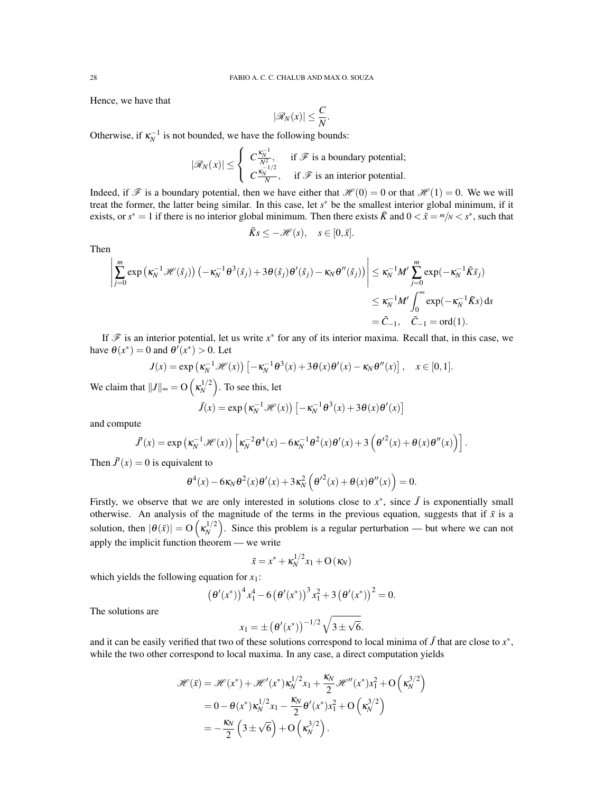Hence, we have that

$$
|\mathscr{R}_N(x)| \leq \frac{C}{N}.
$$

Otherwise, if  $\kappa_N^{-1}$  is not bounded, we have the following bounds:

$$
|\mathcal{R}_N(x)| \leq \begin{cases} C\frac{\kappa_N^{-1}}{N^2}, & \text{if } \mathcal{F} \text{ is a boundary potential;} \\ C\frac{\kappa_N^{-1/2}}{N}, & \text{if } \mathcal{F} \text{ is an interior potential.} \end{cases}
$$

Indeed, if  $\mathscr F$  is a boundary potential, then we have either that  $\mathscr H(0) = 0$  or that  $\mathscr H(1) = 0$ . We we will treat the former, the latter being similar. In this case, let *s*<sup>∗</sup> be the smallest interior global minimum, if it exists, or  $s^* = 1$  if there is no interior global minimum. Then there exists  $\tilde{K}$  and  $0 < \tilde{x} = \frac{m}{N} < s^*$ , such that

$$
\tilde{K}s \le -\mathcal{H}(s), \quad s \in [0,\tilde{x}].
$$

Then

$$
\left| \sum_{j=0}^{m} \exp \left( \kappa_N^{-1} \mathcal{H}(\hat{s}_j) \right) \left( -\kappa_N^{-1} \theta^3(\hat{s}_j) + 3 \theta(\hat{s}_j) \theta'(\hat{s}_j) - \kappa_N \theta''(\hat{s}_j) \right) \right| \le \kappa_N^{-1} M' \sum_{j=0}^{m} \exp(-\kappa_N^{-1} \tilde{K} \tilde{s}_j)
$$
  

$$
\le \kappa_N^{-1} M' \int_0^{\infty} \exp(-\kappa_N^{-1} \tilde{K} s) ds
$$
  

$$
= \tilde{C}_{-1}, \quad \tilde{C}_{-1} = \text{ord}(1).
$$

If  $\mathscr F$  is an interior potential, let us write  $x^*$  for any of its interior maxima. Recall that, in this case, we have  $\theta(x^*) = 0$  and  $\theta'(x^*) > 0$ . Let

$$
J(x) = \exp\left(\kappa_N^{-1}\mathscr{H}(x)\right) \left[-\kappa_N^{-1}\theta^3(x) + 3\theta(x)\theta'(x) - \kappa_N\theta''(x)\right], \quad x \in [0,1].
$$

We claim that  $||J||_{\infty} = O\left(\frac{\kappa_N^{1/2}}{\lambda}\right)$  $\binom{1/2}{N}$ . To see this, let

$$
\tilde{J}(x) = \exp\left(\kappa_N^{-1}\mathcal{H}(x)\right) \left[-\kappa_N^{-1}\theta^3(x) + 3\theta(x)\theta'(x)\right]
$$

and compute

$$
\tilde{J}'(x) = \exp\left(\kappa_N^{-1}\mathscr{H}(x)\right)\left[\kappa_N^{-2}\theta^4(x) - 6\kappa_N^{-1}\theta^2(x)\theta'(x) + 3\left(\theta'^2(x) + \theta(x)\theta''(x)\right)\right].
$$

Then  $\tilde{J}'(x) = 0$  is equivalent to

$$
\theta^4(x) - 6\kappa_N \theta^2(x)\theta'(x) + 3\kappa_N^2 \left(\theta'^2(x) + \theta(x)\theta''(x)\right) = 0.
$$

Firstly, we observe that we are only interested in solutions close to  $x^*$ , since  $\tilde{J}$  is exponentially small otherwise. An analysis of the magnitude of the terms in the previous equation, suggests that if  $\bar{x}$  is a solution, then  $|\theta(\bar{x})| = O\left(\kappa_N^{1/2}\right)$  $N<sup>1/2</sup>$ ). Since this problem is a regular perturbation — but where we can not apply the implicit function theorem — we write

$$
\bar{x} = x^* + \kappa_N^{1/2} x_1 + \mathcal{O}(\kappa_N)
$$

which yields the following equation for  $x_1$ :

$$
(\theta'(x^*))^4 x_1^4 - 6(\theta'(x^*))^3 x_1^2 + 3(\theta'(x^*))^2 = 0.
$$

The solutions are

$$
x_1 = \pm \left(\theta'(x^*)\right)^{-1/2} \sqrt{3 \pm \sqrt{6}}.
$$

and it can be easily verified that two of these solutions correspond to local minima of  $\tilde{J}$  that are close to  $x^*$ , while the two other correspond to local maxima. In any case, a direct computation yields

$$
\mathcal{H}(\bar{x}) = \mathcal{H}(x^*) + \mathcal{H}'(x^*) \kappa_N^{1/2} x_1 + \frac{\kappa_N}{2} \mathcal{H}''(x^*) x_1^2 + O\left(\kappa_N^{3/2}\right)
$$
  
=  $0 - \theta(x^*) \kappa_N^{1/2} x_1 - \frac{\kappa_N}{2} \theta'(x^*) x_1^2 + O\left(\kappa_N^{3/2}\right)$   
=  $-\frac{\kappa_N}{2} \left(3 \pm \sqrt{6}\right) + O\left(\kappa_N^{3/2}\right).$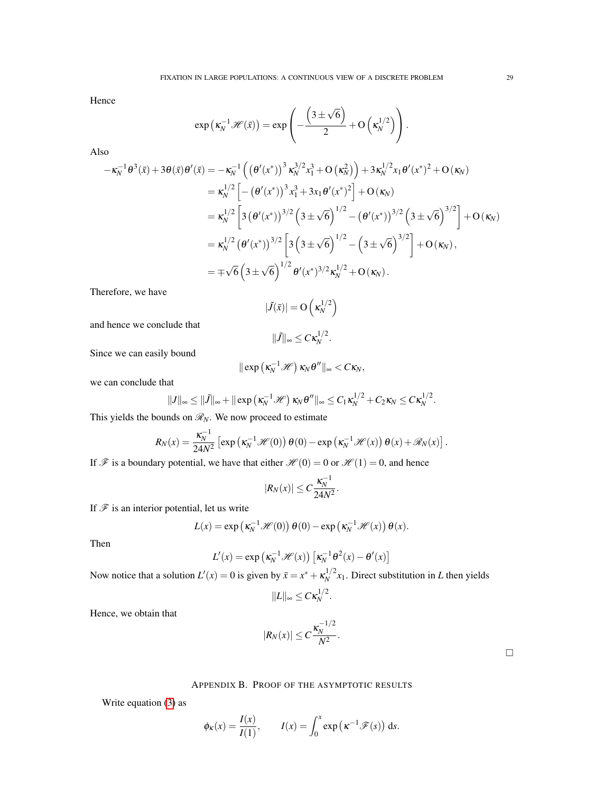Hence

$$
\exp\left(\kappa_N^{-1}\mathscr{H}(\bar{x})\right)=\exp\left(-\frac{\left(3\pm\sqrt{6}\right)}{2}+O\left(\kappa_N^{1/2}\right)\right).
$$

Also

$$
-\kappa_N^{-1}\theta^3(\bar{x})+3\theta(\bar{x})\theta'(\bar{x}) = -\kappa_N^{-1}\left(\left(\theta'(x^*)\right)^3\kappa_N^{3/2}x_1^3 + O\left(\kappa_N^2\right)\right) + 3\kappa_N^{1/2}x_1\theta'(x^*)^2 + O\left(\kappa_N\right)
$$
  
\n
$$
= \kappa_N^{1/2}\left[-\left(\theta'(x^*)\right)^3x_1^3 + 3x_1\theta'(x^*)^2\right] + O\left(\kappa_N\right)
$$
  
\n
$$
= \kappa_N^{1/2}\left[3\left(\theta'(x^*)\right)^{3/2}\left(3\pm\sqrt{6}\right)^{1/2} - \left(\theta'(x^*)\right)^{3/2}\left(3\pm\sqrt{6}\right)^{3/2}\right] + O\left(\kappa_N\right)
$$
  
\n
$$
= \kappa_N^{1/2}\left(\theta'(x^*)\right)^{3/2}\left[3\left(3\pm\sqrt{6}\right)^{1/2} - \left(3\pm\sqrt{6}\right)^{3/2}\right] + O\left(\kappa_N\right),
$$
  
\n
$$
= \pm\sqrt{6}\left(3\pm\sqrt{6}\right)^{1/2}\theta'(x^*)^{3/2}\kappa_N^{1/2} + O\left(\kappa_N\right).
$$

Therefore, we have

$$
|\tilde{J}(\bar{x})| = O\left(\kappa_N^{1/2}\right)
$$

and hence we conclude that

$$
\|\tilde{J}\|_{\infty} \leq C \kappa_N^{1/2}
$$

.

Since we can easily bound

$$
\|\exp\left(\kappa_N^{-1}\mathscr{H}\right)\kappa_N\theta''\|_\infty < C\kappa_N,
$$

we can conclude that

$$
||J||_{\infty} \leq ||\tilde{J}||_{\infty} + ||\exp\left(\kappa_N^{-1}\mathscr{H}\right)\kappa_N\theta''||_{\infty} \leq C_1\kappa_N^{1/2} + C_2\kappa_N \leq C\kappa_N^{1/2}.
$$

This yields the bounds on  $\mathcal{R}_N$ . We now proceed to estimate

$$
R_N(x) = \frac{\kappa_N^{-1}}{24N^2} \left[ \exp\left(\kappa_N^{-1} \mathcal{H}(0)\right) \theta(0) - \exp\left(\kappa_N^{-1} \mathcal{H}(x)\right) \theta(x) + \mathcal{R}_N(x) \right].
$$

If  $\mathscr F$  is a boundary potential, we have that either  $\mathscr H(0) = 0$  or  $\mathscr H(1) = 0$ , and hence

$$
|R_N(x)| \leq C \frac{\kappa_N^{-1}}{24N^2}.
$$

If  $\mathcal F$  is an interior potential, let us write

$$
L(x) = \exp\left(\kappa_N^{-1} \mathcal{H}(0)\right) \theta(0) - \exp\left(\kappa_N^{-1} \mathcal{H}(x)\right) \theta(x).
$$

Then

$$
L'(x) = \exp\left(\kappa_N^{-1} \mathcal{H}(x)\right) \left[\kappa_N^{-1} \theta^2(x) - \theta'(x)\right]
$$

Now notice that a solution  $L'(x) = 0$  is given by  $\bar{x} = x^* + \kappa_N^{1/2}$  $\frac{d^{1/2}}{N}x_1$ . Direct substitution in *L* then yields

$$
||L||_{\infty} \leq C \kappa_N^{1/2}.
$$

Hence, we obtain that

$$
|R_N(x)| \leq C \frac{\kappa_N^{-1/2}}{N^2}.
$$

 $\hfill \square$ 

### APPENDIX B. PROOF OF THE ASYMPTOTIC RESULTS

<span id="page-28-0"></span>Write equation [\(3\)](#page-5-1) as

$$
\phi_{\kappa}(x) = \frac{I(x)}{I(1)},
$$
\n $I(x) = \int_0^x \exp(\kappa^{-1}\mathscr{F}(s)) ds.$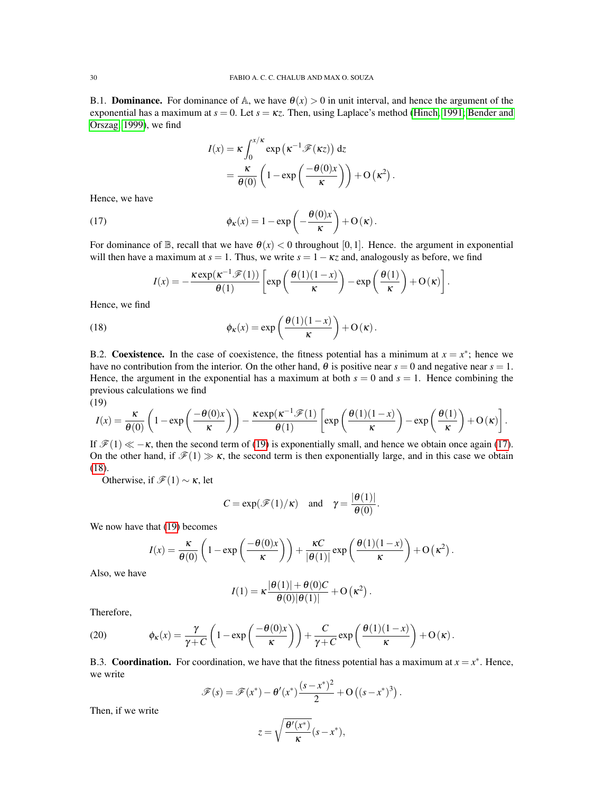B.1. **Dominance.** For dominance of  $\mathbb{A}$ , we have  $\theta(x) > 0$  in unit interval, and hence the argument of the exponential has a maximum at  $s = 0$ . Let  $s = \kappa z$ . Then, using Laplace's method [\(Hinch, 1991;](#page-31-25) [Bender and](#page-31-26) [Orszag, 1999\)](#page-31-26), we find

<span id="page-29-1"></span>
$$
I(x) = \kappa \int_0^{x/\kappa} \exp(\kappa^{-1} \mathscr{F}(\kappa z)) dz
$$
  
=  $\frac{\kappa}{\theta(0)} \left( 1 - \exp\left(\frac{-\theta(0)x}{\kappa}\right) \right) + O(\kappa^2).$ 

Hence, we have

(17) 
$$
\phi_{\kappa}(x) = 1 - \exp\left(-\frac{\theta(0)x}{\kappa}\right) + O(\kappa).
$$

For dominance of  $\mathbb{B}$ , recall that we have  $\theta(x) < 0$  throughout [0,1]. Hence. the argument in exponential will then have a maximum at  $s = 1$ . Thus, we write  $s = 1 - \kappa z$  and, analogously as before, we find

<span id="page-29-2"></span>
$$
I(x) = -\frac{\kappa \exp(\kappa^{-1} \mathscr{F}(1))}{\theta(1)} \left[ \exp\left(\frac{\theta(1)(1-x)}{\kappa}\right) - \exp\left(\frac{\theta(1)}{\kappa}\right) + O(\kappa) \right].
$$

Hence, we find

(18) 
$$
\phi_{\kappa}(x) = \exp\left(\frac{\theta(1)(1-x)}{\kappa}\right) + O(\kappa).
$$

B.2. Coexistence. In the case of coexistence, the fitness potential has a minimum at  $x = x^*$ ; hence we have no contribution from the interior. On the other hand,  $\theta$  is positive near  $s = 0$  and negative near  $s = 1$ . Hence, the argument in the exponential has a maximum at both  $s = 0$  and  $s = 1$ . Hence combining the previous calculations we find (19)

<span id="page-29-0"></span>
$$
I(x) = \frac{\kappa}{\theta(0)} \left( 1 - \exp\left(\frac{-\theta(0)x}{\kappa}\right) \right) - \frac{\kappa \exp(\kappa^{-1} \mathscr{F}(1))}{\theta(1)} \left[ \exp\left(\frac{\theta(1)(1-x)}{\kappa}\right) - \exp\left(\frac{\theta(1)}{\kappa}\right) + O(\kappa) \right].
$$

If  $\mathcal{F}(1) \ll -\kappa$ , then the second term of [\(19\)](#page-29-0) is exponentially small, and hence we obtain once again [\(17\)](#page-29-1). On the other hand, if  $\mathcal{F}(1) \gg \kappa$ , the second term is then exponentially large, and in this case we obtain [\(18\)](#page-29-2).

Otherwise, if  $\mathcal{F}(1) \sim \kappa$ , let

$$
C = \exp(\mathcal{F}(1)/\kappa)
$$
 and  $\gamma = \frac{|\theta(1)|}{\theta(0)}$ .

We now have that [\(19\)](#page-29-0) becomes

$$
I(x) = \frac{\kappa}{\theta(0)} \left( 1 - \exp\left(\frac{-\theta(0)x}{\kappa}\right) \right) + \frac{\kappa C}{|\theta(1)|} \exp\left(\frac{\theta(1)(1-x)}{\kappa}\right) + O\left(\kappa^2\right).
$$

Also, we have

$$
I(1) = \kappa \frac{|\theta(1)| + \theta(0)C}{\theta(0)|\theta(1)|} + O\left(\kappa^2\right).
$$

Therefore,

(20) 
$$
\phi_{\kappa}(x) = \frac{\gamma}{\gamma + C} \left( 1 - \exp\left( \frac{-\theta(0)x}{\kappa} \right) \right) + \frac{C}{\gamma + C} \exp\left( \frac{\theta(1)(1-x)}{\kappa} \right) + O(\kappa).
$$

B.3. **Coordination.** For coordination, we have that the fitness potential has a maximum at  $x = x^*$ . Hence, we write

$$
\mathscr{F}(s) = \mathscr{F}(x^*) - \theta'(x^*) \frac{(s - x^*)^2}{2} + O((s - x^*)^3).
$$

Then, if we write

$$
z = \sqrt{\frac{\theta'(x^*)}{\kappa}}(s - x^*),
$$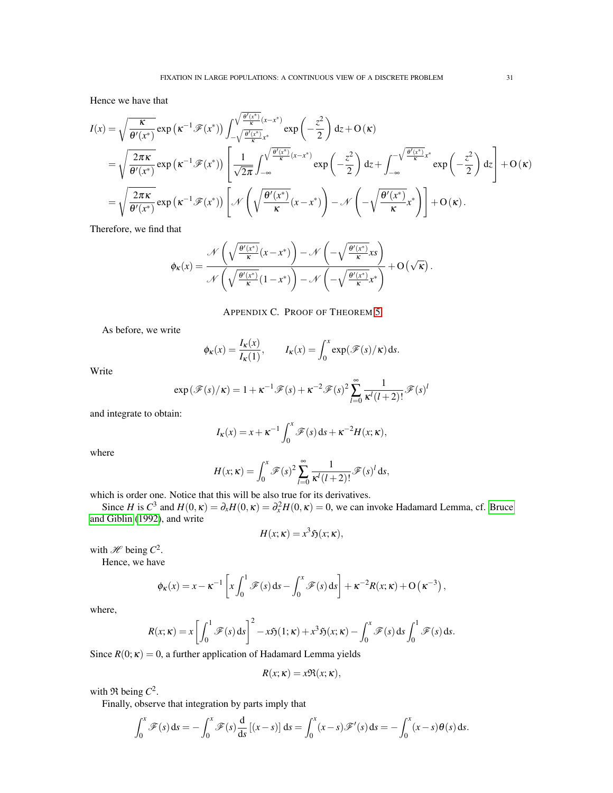Hence we have that

$$
I(x) = \sqrt{\frac{\kappa}{\theta'(x^{*})}} \exp(\kappa^{-1}\mathscr{F}(x^{*})) \int_{-\sqrt{\frac{\theta'(x^{*})}{\kappa}}(x-x^{*})}^{\sqrt{\frac{\theta'(x^{*})}{\kappa}}(x-x^{*})} \exp(-\frac{z^{2}}{2}) dz + O(\kappa)
$$
  
\n
$$
= \sqrt{\frac{2\pi\kappa}{\theta'(x^{*})}} \exp(\kappa^{-1}\mathscr{F}(x^{*})) \left[\frac{1}{\sqrt{2\pi}} \int_{-\infty}^{\sqrt{\frac{\theta'(x^{*})}{\kappa}}(x-x^{*})} \exp(-\frac{z^{2}}{2}) dz + \int_{-\infty}^{-\sqrt{\frac{\theta'(x^{*})}{\kappa}}x^{*}} \exp(-\frac{z^{2}}{2}) dz\right] + O(\kappa)
$$
  
\n
$$
= \sqrt{\frac{2\pi\kappa}{\theta'(x^{*})}} \exp(\kappa^{-1}\mathscr{F}(x^{*})) \left[\mathscr{N}\left(\sqrt{\frac{\theta'(x^{*})}{\kappa}}(x-x^{*})\right) - \mathscr{N}\left(-\sqrt{\frac{\theta'(x^{*})}{\kappa}}x^{*}\right)\right] + O(\kappa).
$$

Therefore, we find that

$$
\phi_{\kappa}(x) = \frac{\mathcal{N}\left(\sqrt{\frac{\theta'(x^*)}{\kappa}}(x-x^*)\right) - \mathcal{N}\left(-\sqrt{\frac{\theta'(x^*)}{\kappa}}xs\right)}{\mathcal{N}\left(\sqrt{\frac{\theta'(x^*)}{\kappa}}(1-x^*)\right) - \mathcal{N}\left(-\sqrt{\frac{\theta'(x^*)}{\kappa}}x^*\right)} + O\left(\sqrt{\kappa}\right).
$$

APPENDIX C. PROOF OF THEOREM [5](#page-19-2)

<span id="page-30-0"></span>As before, we write

$$
\phi_{\kappa}(x) = \frac{I_{\kappa}(x)}{I_{\kappa}(1)}, \qquad I_{\kappa}(x) = \int_0^x \exp(\mathscr{F}(s)/\kappa) \, \mathrm{d}s.
$$

Write

$$
\exp(\mathcal{F}(s)/\kappa) = 1 + \kappa^{-1} \mathcal{F}(s) + \kappa^{-2} \mathcal{F}(s)^2 \sum_{l=0}^{\infty} \frac{1}{\kappa^l(l+2)!} \mathcal{F}(s)^l
$$

and integrate to obtain:

$$
I_{\kappa}(x) = x + \kappa^{-1} \int_0^x \mathscr{F}(s) \, ds + \kappa^{-2} H(x; \kappa),
$$

where

$$
H(x; \kappa) = \int_0^x \mathscr{F}(s)^2 \sum_{l=0}^\infty \frac{1}{\kappa^l(l+2)!} \mathscr{F}(s)^l \, \mathrm{d}s,
$$

which is order one. Notice that this will be also true for its derivatives.

Since *H* is  $C^3$  and  $H(0, \kappa) = \partial_x H(0, \kappa) = \partial_x^2 H(0, \kappa) = 0$ , we can invoke Hadamard Lemma, cf. [Bruce](#page-31-27) [and Giblin](#page-31-27) [\(1992\)](#page-31-27), and write

$$
H(x; \kappa) = x^3 \mathfrak{H}(x; \kappa),
$$

with  $\mathcal{H}$  being  $C^2$ .

Hence, we have

$$
\phi_{\kappa}(x) = x - \kappa^{-1} \left[ x \int_0^1 \mathscr{F}(s) \, ds - \int_0^x \mathscr{F}(s) \, ds \right] + \kappa^{-2} R(x; \kappa) + O\left(\kappa^{-3}\right),
$$

where,

$$
R(x; \kappa) = x \left[ \int_0^1 \mathcal{F}(s) ds \right]^2 - x \mathfrak{H}(1; \kappa) + x^3 \mathfrak{H}(x; \kappa) - \int_0^x \mathcal{F}(s) ds \int_0^1 \mathcal{F}(s) ds.
$$

Since  $R(0; \kappa) = 0$ , a further application of Hadamard Lemma yields

$$
R(x; \kappa) = x \Re(x; \kappa),
$$

with  $\Re$  being  $C^2$ .

Finally, observe that integration by parts imply that

$$
\int_0^x \mathscr{F}(s) ds = -\int_0^x \mathscr{F}(s) \frac{d}{ds} [(x-s)] ds = \int_0^x (x-s) \mathscr{F}'(s) ds = -\int_0^x (x-s) \theta(s) ds.
$$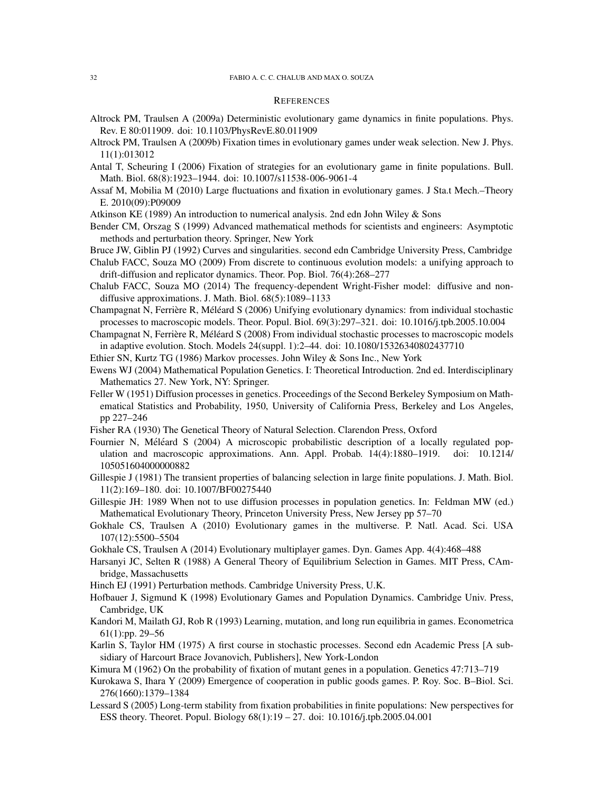#### **REFERENCES**

- <span id="page-31-17"></span>Altrock PM, Traulsen A (2009a) Deterministic evolutionary game dynamics in finite populations. Phys. Rev. E 80:011909. doi: 10.1103/PhysRevE.80.011909
- <span id="page-31-15"></span>Altrock PM, Traulsen A (2009b) Fixation times in evolutionary games under weak selection. New J. Phys. 11(1):013012
- <span id="page-31-14"></span>Antal T, Scheuring I (2006) Fixation of strategies for an evolutionary game in finite populations. Bull. Math. Biol. 68(8):1923–1944. doi: 10.1007/s11538-006-9061-4
- <span id="page-31-16"></span>Assaf M, Mobilia M (2010) Large fluctuations and fixation in evolutionary games. J Sta.t Mech.–Theory E. 2010(09):P09009
- <span id="page-31-24"></span>Atkinson KE (1989) An introduction to numerical analysis. 2nd edn John Wiley & Sons
- <span id="page-31-26"></span>Bender CM, Orszag S (1999) Advanced mathematical methods for scientists and engineers: Asymptotic methods and perturbation theory. Springer, New York
- <span id="page-31-27"></span>Bruce JW, Giblin PJ (1992) Curves and singularities. second edn Cambridge University Press, Cambridge
- <span id="page-31-7"></span>Chalub FACC, Souza MO (2009) From discrete to continuous evolution models: a unifying approach to drift-diffusion and replicator dynamics. Theor. Pop. Biol. 76(4):268–277
- <span id="page-31-8"></span>Chalub FACC, Souza MO (2014) The frequency-dependent Wright-Fisher model: diffusive and nondiffusive approximations. J. Math. Biol. 68(5):1089–1133
- <span id="page-31-10"></span>Champagnat N, Ferrière R, Méléard S (2006) Unifying evolutionary dynamics: from individual stochastic processes to macroscopic models. Theor. Popul. Biol. 69(3):297–321. doi: 10.1016/j.tpb.2005.10.004
- <span id="page-31-11"></span>Champagnat N, Ferrière R, Méléard S (2008) From individual stochastic processes to macroscopic models in adaptive evolution. Stoch. Models 24(suppl. 1):2–44. doi: 10.1080/15326340802437710
- <span id="page-31-6"></span>Ethier SN, Kurtz TG (1986) Markov processes. John Wiley & Sons Inc., New York
- <span id="page-31-2"></span>Ewens WJ (2004) Mathematical Population Genetics. I: Theoretical Introduction. 2nd ed. Interdisciplinary Mathematics 27. New York, NY: Springer.
- <span id="page-31-4"></span>Feller W (1951) Diffusion processes in genetics. Proceedings of the Second Berkeley Symposium on Mathematical Statistics and Probability, 1950, University of California Press, Berkeley and Los Angeles, pp 227–246
- <span id="page-31-0"></span>Fisher RA (1930) The Genetical Theory of Natural Selection. Clarendon Press, Oxford
- <span id="page-31-12"></span>Fournier N, Méléard S (2004) A microscopic probabilistic description of a locally regulated population and macroscopic approximations. Ann. Appl. Probab. 14(4):1880–1919. doi: 10.1214/ 105051604000000882
- <span id="page-31-13"></span>Gillespie J (1981) The transient properties of balancing selection in large finite populations. J. Math. Biol. 11(2):169–180. doi: 10.1007/BF00275440
- <span id="page-31-5"></span>Gillespie JH: 1989 When not to use diffusion processes in population genetics. In: Feldman MW (ed.) Mathematical Evolutionary Theory, Princeton University Press, New Jersey pp 57–70
- <span id="page-31-18"></span>Gokhale CS, Traulsen A (2010) Evolutionary games in the multiverse. P. Natl. Acad. Sci. USA 107(12):5500–5504
- <span id="page-31-21"></span>Gokhale CS, Traulsen A (2014) Evolutionary multiplayer games. Dyn. Games App. 4(4):468–488
- <span id="page-31-22"></span>Harsanyi JC, Selten R (1988) A General Theory of Equilibrium Selection in Games. MIT Press, CAmbridge, Massachusetts
- <span id="page-31-25"></span>Hinch EJ (1991) Perturbation methods. Cambridge University Press, U.K.
- <span id="page-31-3"></span>Hofbauer J, Sigmund K (1998) Evolutionary Games and Population Dynamics. Cambridge Univ. Press, Cambridge, UK
- <span id="page-31-23"></span>Kandori M, Mailath GJ, Rob R (1993) Learning, mutation, and long run equilibria in games. Econometrica 61(1):pp. 29–56
- <span id="page-31-20"></span>Karlin S, Taylor HM (1975) A first course in stochastic processes. Second edn Academic Press [A subsidiary of Harcourt Brace Jovanovich, Publishers], New York-London
- <span id="page-31-1"></span>Kimura M (1962) On the probability of fixation of mutant genes in a population. Genetics 47:713–719
- <span id="page-31-19"></span>Kurokawa S, Ihara Y (2009) Emergence of cooperation in public goods games. P. Roy. Soc. B–Biol. Sci. 276(1660):1379–1384
- <span id="page-31-9"></span>Lessard S (2005) Long-term stability from fixation probabilities in finite populations: New perspectives for ESS theory. Theoret. Popul. Biology 68(1):19 – 27. doi: 10.1016/j.tpb.2005.04.001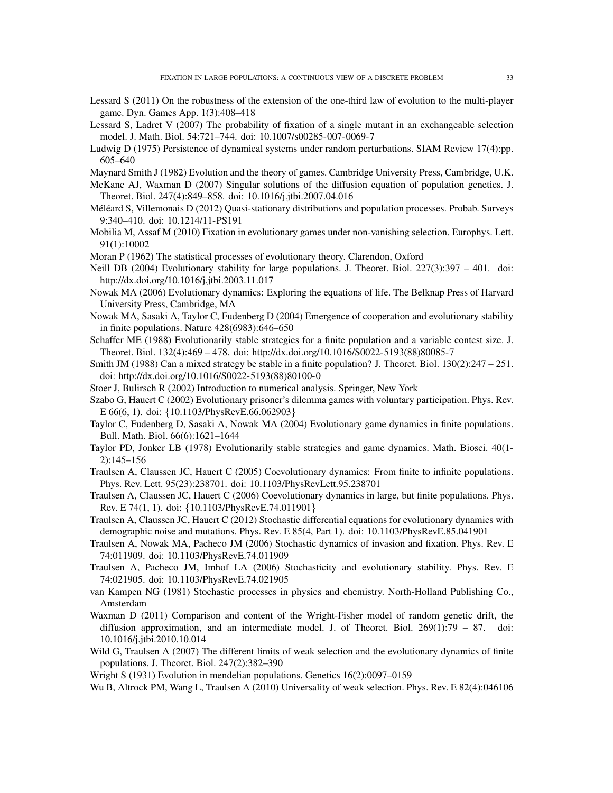- <span id="page-32-15"></span>Lessard S (2011) On the robustness of the extension of the one-third law of evolution to the multi-player game. Dyn. Games App. 1(3):408–418
- <span id="page-32-8"></span>Lessard S, Ladret V (2007) The probability of fixation of a single mutant in an exchangeable selection model. J. Math. Biol. 54:721–744. doi: 10.1007/s00285-007-0069-7
- <span id="page-32-23"></span>Ludwig D (1975) Persistence of dynamical systems under random perturbations. SIAM Review 17(4):pp. 605–640
- <span id="page-32-3"></span>Maynard Smith J (1982) Evolution and the theory of games. Cambridge University Press, Cambridge, U.K.
- <span id="page-32-9"></span>McKane AJ, Waxman D (2007) Singular solutions of the diffusion equation of population genetics. J. Theoret. Biol. 247(4):849–858. doi: 10.1016/j.jtbi.2007.04.016
- <span id="page-32-19"></span>Méléard S, Villemonais D (2012) Quasi-stationary distributions and population processes. Probab. Surveys 9:340–410. doi: 10.1214/11-PS191
- <span id="page-32-14"></span>Mobilia M, Assaf M (2010) Fixation in evolutionary games under non-vanishing selection. Europhys. Lett. 91(1):10002
- <span id="page-32-1"></span>Moran P (1962) The statistical processes of evolutionary theory. Clarendon, Oxford
- <span id="page-32-22"></span>Neill DB (2004) Evolutionary stability for large populations. J. Theoret. Biol. 227(3):397 – 401. doi: http://dx.doi.org/10.1016/j.jtbi.2003.11.017
- <span id="page-32-2"></span>Nowak MA (2006) Evolutionary dynamics: Exploring the equations of life. The Belknap Press of Harvard University Press, Cambridge, MA
- <span id="page-32-6"></span>Nowak MA, Sasaki A, Taylor C, Fudenberg D (2004) Emergence of cooperation and evolutionary stability in finite populations. Nature 428(6983):646–650
- <span id="page-32-21"></span>Schaffer ME (1988) Evolutionarily stable strategies for a finite population and a variable contest size. J. Theoret. Biol. 132(4):469 – 478. doi: http://dx.doi.org/10.1016/S0022-5193(88)80085-7
- <span id="page-32-18"></span>Smith JM (1988) Can a mixed strategy be stable in a finite population? J. Theoret. Biol. 130(2):247 – 251. doi: http://dx.doi.org/10.1016/S0022-5193(88)80100-0
- <span id="page-32-26"></span>Stoer J, Bulirsch R (2002) Introduction to numerical analysis. Springer, New York
- <span id="page-32-17"></span>Szabo G, Hauert C (2002) Evolutionary prisoner's dilemma games with voluntary participation. Phys. Rev. E 66(6, 1). doi: {10.1103/PhysRevE.66.062903}
- <span id="page-32-5"></span>Taylor C, Fudenberg D, Sasaki A, Nowak MA (2004) Evolutionary game dynamics in finite populations. Bull. Math. Biol. 66(6):1621–1644
- <span id="page-32-4"></span>Taylor PD, Jonker LB (1978) Evolutionarily stable strategies and game dynamics. Math. Biosci. 40(1- 2):145–156
- <span id="page-32-7"></span>Traulsen A, Claussen JC, Hauert C (2005) Coevolutionary dynamics: From finite to infinite populations. Phys. Rev. Lett. 95(23):238701. doi: 10.1103/PhysRevLett.95.238701
- <span id="page-32-16"></span>Traulsen A, Claussen JC, Hauert C (2006) Coevolutionary dynamics in large, but finite populations. Phys. Rev. E 74(1, 1). doi: {10.1103/PhysRevE.74.011901}
- <span id="page-32-12"></span>Traulsen A, Claussen JC, Hauert C (2012) Stochastic differential equations for evolutionary dynamics with demographic noise and mutations. Phys. Rev. E 85(4, Part 1). doi: 10.1103/PhysRevE.85.041901
- <span id="page-32-11"></span>Traulsen A, Nowak MA, Pacheco JM (2006) Stochastic dynamics of invasion and fixation. Phys. Rev. E 74:011909. doi: 10.1103/PhysRevE.74.011909
- <span id="page-32-13"></span>Traulsen A, Pacheco JM, Imhof LA (2006) Stochasticity and evolutionary stability. Phys. Rev. E 74:021905. doi: 10.1103/PhysRevE.74.021905
- <span id="page-32-20"></span>van Kampen NG (1981) Stochastic processes in physics and chemistry. North-Holland Publishing Co., Amsterdam
- <span id="page-32-10"></span>Waxman D (2011) Comparison and content of the Wright-Fisher model of random genetic drift, the diffusion approximation, and an intermediate model. J. of Theoret. Biol.  $269(1):79 - 87$ . doi: 10.1016/j.jtbi.2010.10.014
- <span id="page-32-25"></span>Wild G, Traulsen A (2007) The different limits of weak selection and the evolutionary dynamics of finite populations. J. Theoret. Biol. 247(2):382–390
- <span id="page-32-0"></span>Wright S (1931) Evolution in mendelian populations. Genetics 16(2):0097–0159

<span id="page-32-24"></span>Wu B, Altrock PM, Wang L, Traulsen A (2010) Universality of weak selection. Phys. Rev. E 82(4):046106